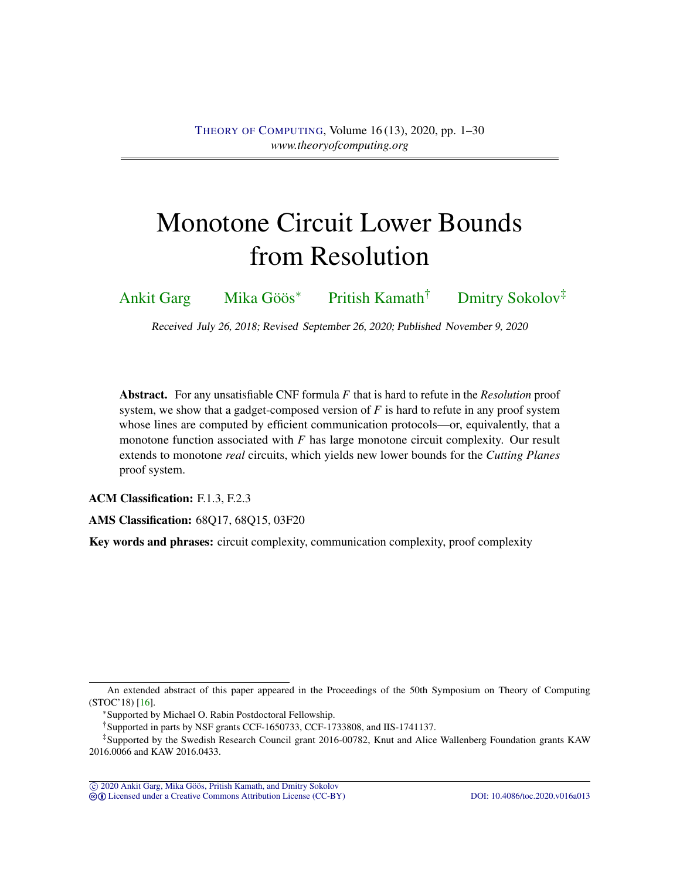# <span id="page-0-1"></span><span id="page-0-0"></span>Monotone Circuit Lower Bounds from Resolution

[Ankit Garg](#page-27-0) [Mika Göös](#page-27-1)<sup>∗</sup> [Pritish Kamath](#page-28-0)† [Dmitry Sokolov](#page-28-1)‡

Received July 26, 2018; Revised September 26, 2020; Published November 9, 2020

Abstract. For any unsatisfiable CNF formula *F* that is hard to refute in the *Resolution* proof system, we show that a gadget-composed version of *F* is hard to refute in any proof system whose lines are computed by efficient communication protocols—or, equivalently, that a monotone function associated with *F* has large monotone circuit complexity. Our result extends to monotone *real* circuits, which yields new lower bounds for the *Cutting Planes* proof system.

ACM Classification: F.1.3, F.2.3

AMS Classification: 68Q17, 68Q15, 03F20

Key words and phrases: circuit complexity, communication complexity, proof complexity

An extended abstract of this paper appeared in the Proceedings of the 50th Symposium on Theory of Computing (STOC'18) [\[16\]](#page-24-0).

<sup>∗</sup>Supported by Michael O. Rabin Postdoctoral Fellowship.

<sup>†</sup>Supported in parts by NSF grants CCF-1650733, CCF-1733808, and IIS-1741137.

<sup>‡</sup>Supported by the Swedish Research Council grant 2016-00782, Knut and Alice Wallenberg Foundation grants KAW 2016.0066 and KAW 2016.0433.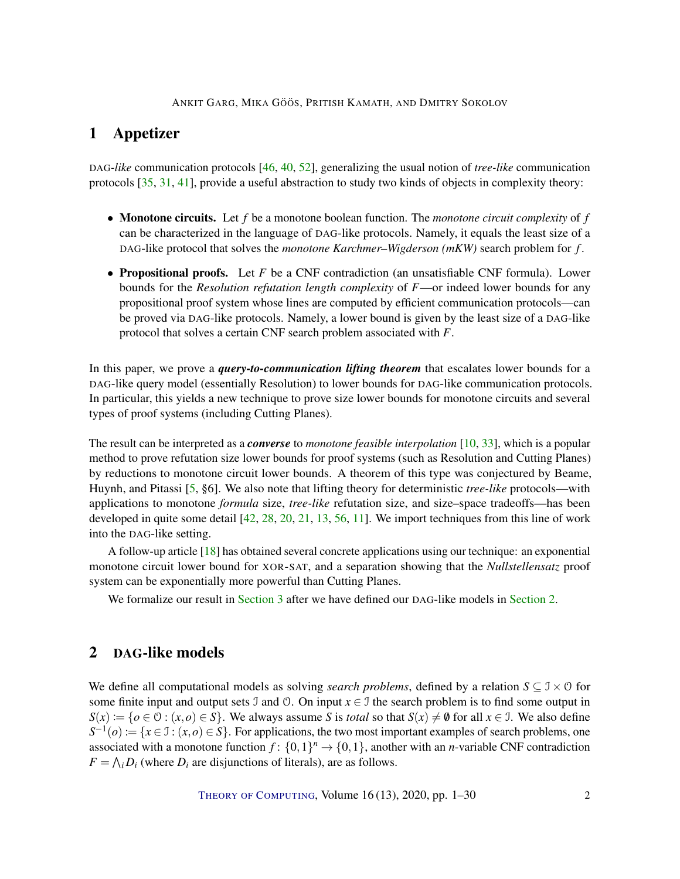# <span id="page-1-1"></span>1 Appetizer

DAG*-like* communication protocols [\[46,](#page-26-0) [40,](#page-26-1) [52\]](#page-27-2), generalizing the usual notion of *tree-like* communication protocols [\[35,](#page-26-2) [31,](#page-25-0) [41\]](#page-26-3), provide a useful abstraction to study two kinds of objects in complexity theory:

- Monotone circuits. Let *f* be a monotone boolean function. The *monotone circuit complexity* of *f* can be characterized in the language of DAG-like protocols. Namely, it equals the least size of a DAG-like protocol that solves the *monotone Karchmer–Wigderson (mKW)* search problem for *f* .
- **Propositional proofs.** Let F be a CNF contradiction (an unsatisfiable CNF formula). Lower bounds for the *Resolution refutation length complexity* of *F*—or indeed lower bounds for any propositional proof system whose lines are computed by efficient communication protocols—can be proved via DAG-like protocols. Namely, a lower bound is given by the least size of a DAG-like protocol that solves a certain CNF search problem associated with *F*.

In this paper, we prove a *query-to-communication lifting theorem* that escalates lower bounds for a DAG-like query model (essentially Resolution) to lower bounds for DAG-like communication protocols. In particular, this yields a new technique to prove size lower bounds for monotone circuits and several types of proof systems (including Cutting Planes).

The result can be interpreted as a *converse* to *monotone feasible interpolation* [\[10,](#page-24-1) [33\]](#page-25-1), which is a popular method to prove refutation size lower bounds for proof systems (such as Resolution and Cutting Planes) by reductions to monotone circuit lower bounds. A theorem of this type was conjectured by Beame, Huynh, and Pitassi [\[5,](#page-23-0) §6]. We also note that lifting theory for deterministic *tree-like* protocols—with applications to monotone *formula* size, *tree-like* refutation size, and size–space tradeoffs—has been developed in quite some detail [\[42,](#page-26-4) [28,](#page-25-2) [20,](#page-25-3) [21,](#page-25-4) [13,](#page-24-2) [56,](#page-27-3) [11\]](#page-24-3). We import techniques from this line of work into the DAG-like setting.

A follow-up article [\[18\]](#page-24-4) has obtained several concrete applications using our technique: an exponential monotone circuit lower bound for XOR-SAT, and a separation showing that the *Nullstellensatz* proof system can be exponentially more powerful than Cutting Planes.

We formalize our result in [Section 3](#page-4-0) after we have defined our DAG-like models in [Section 2.](#page-1-0)

# <span id="page-1-0"></span>2 DAG-like models

We define all computational models as solving *search problems*, defined by a relation  $S \subseteq \mathcal{I} \times \mathcal{O}$  for some finite input and output sets  $\Im$  and  $\Im$ . On input  $x \in \Im$  the search problem is to find some output in  $S(x) := \{o \in \mathcal{O} : (x, o) \in S\}$ . We always assume *S* is *total* so that  $S(x) \neq \emptyset$  for all  $x \in \mathcal{I}$ . We also define  $S^{-1}(o) := \{x \in \mathcal{I} : (x, o) \in S\}$ . For applications, the two most important examples of search problems, one associated with a monotone function  $f: \{0,1\}^n \to \{0,1\}$ , another with an *n*-variable CNF contradiction  $F = \bigwedge_i D_i$  (where  $D_i$  are disjunctions of literals), are as follows.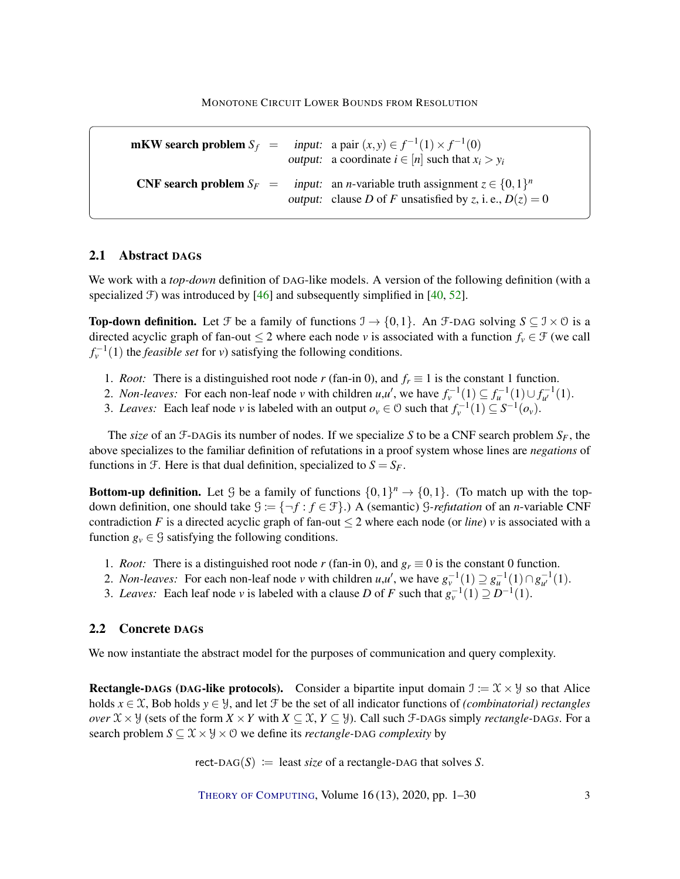<span id="page-2-0"></span>mKW search problem  $S_f$  =  $f^{-1}(1) \times f^{-1}(0)$ output: a coordinate  $i \in [n]$  such that  $x_i > y_i$ **CNF search problem**  $S_F =$  input: an *n*-variable truth assignment  $z \in \{0, 1\}^n$ output: clause *D* of *F* unsatisfied by *z*, i. e.,  $D(z) = 0$ 

## 2.1 Abstract DAGs

We work with a *top-down* definition of DAG-like models. A version of the following definition (with a specialized  $\mathcal F$ ) was introduced by [\[46\]](#page-26-0) and subsequently simplified in [\[40,](#page-26-1) [52\]](#page-27-2).

**Top-down definition.** Let F be a family of functions  $\mathcal{I} \to \{0,1\}$ . An F-DAG solving  $S \subseteq \mathcal{I} \times \mathcal{O}$  is a directed acyclic graph of fan-out  $\leq 2$  where each node *v* is associated with a function  $f_v \in \mathcal{F}$  (we call  $f_{\nu}^{-1}(1)$  the *feasible set* for *v*) satisfying the following conditions.

- 1. *Root:* There is a distinguished root node *r* (fan-in 0), and  $f_r \equiv 1$  is the constant 1 function.
- 2. *Non-leaves:* For each non-leaf node *v* with children *u*,*u'*, we have  $f_v^{-1}(1) \subseteq f_u^{-1}(1) \cup f_{u'}^{-1}(1)$ .
- 3. *Leaves:* Each leaf node *v* is labeled with an output  $o_v \in \mathcal{O}$  such that  $f_v^{-1}(1) \subseteq S^{-1}(o_v)$ .

The *size* of an F-DAG is its number of nodes. If we specialize S to be a CNF search problem  $S_F$ , the above specializes to the familiar definition of refutations in a proof system whose lines are *negations* of functions in F. Here is that dual definition, specialized to  $S = S_F$ .

**Bottom-up definition.** Let G be a family of functions  $\{0,1\}^n \rightarrow \{0,1\}$ . (To match up with the topdown definition, one should take  $G := \{\neg f : f \in \mathcal{F}\}\)$  A (semantic) *G-refutation* of an *n*-variable CNF contradiction *F* is a directed acyclic graph of fan-out  $\leq 2$  where each node (or *line*) *v* is associated with a function  $g_y \in \mathcal{G}$  satisfying the following conditions.

- 1. *Root:* There is a distinguished root node *r* (fan-in 0), and  $g_r \equiv 0$  is the constant 0 function.
- 2. *Non-leaves:* For each non-leaf node *v* with children  $u, u'$ , we have  $g_v^{-1}(1) \supseteq g_u^{-1}(1) \cap g_{u'}^{-1}(1)$ .
- 3. *Leaves:* Each leaf node *v* is labeled with a clause *D* of *F* such that  $g_v^{-1}(1) \supseteq D^{-1}(1)$ .

## 2.2 Concrete DAGs

We now instantiate the abstract model for the purposes of communication and query complexity.

**Rectangle-DAGs (DAG-like protocols).** Consider a bipartite input domain  $\mathcal{I} := \mathcal{X} \times \mathcal{Y}$  so that Alice holds  $x \in \mathcal{X}$ , Bob holds  $y \in \mathcal{Y}$ , and let F be the set of all indicator functions of *(combinatorial) rectangles over*  $X \times Y$  (sets of the form  $X \times Y$  with  $X \subseteq \mathcal{X}, Y \subseteq Y$ ). Call such F-DAGs simply *rectangle-DAGs*. For a search problem  $S \subseteq \mathcal{X} \times \mathcal{Y} \times \mathcal{O}$  we define its *rectangle*-DAG *complexity* by

 $rect-DAG(S) :=$  least *size* of a rectangle-DAG that solves *S*.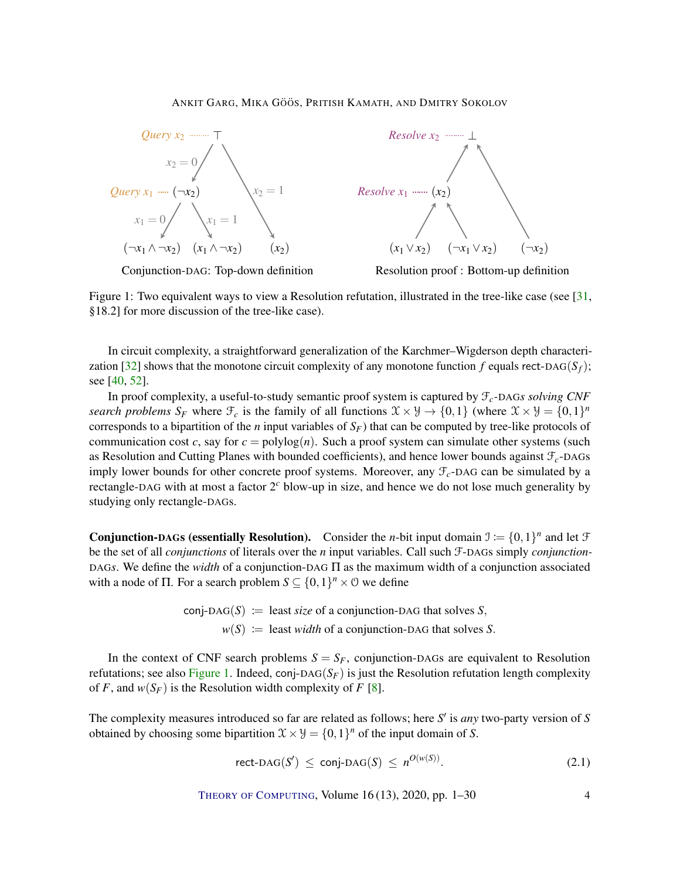<span id="page-3-2"></span><span id="page-3-0"></span>



Conjunction-DAG: Top-down definition



Figure 1: Two equivalent ways to view a Resolution refutation, illustrated in the tree-like case (see [\[31,](#page-25-0) §18.2] for more discussion of the tree-like case).

In circuit complexity, a straightforward generalization of the Karchmer–Wigderson depth characteri-zation [\[32\]](#page-25-5) shows that the monotone circuit complexity of any monotone function *f* equals rect-DAG( $S_f$ ); see [\[40,](#page-26-1) [52\]](#page-27-2).

In proof complexity, a useful-to-study semantic proof system is captured by F*c-*DAG*s solving CNF search problems*  $S_F$  where  $\mathcal{F}_c$  is the family of all functions  $\mathcal{X} \times \mathcal{Y} \to \{0,1\}$  (where  $\mathcal{X} \times \mathcal{Y} = \{0,1\}^n$ corresponds to a bipartition of the *n* input variables of *SF*) that can be computed by tree-like protocols of communication cost *c*, say for  $c = \text{polylog}(n)$ . Such a proof system can simulate other systems (such as Resolution and Cutting Planes with bounded coefficients), and hence lower bounds against  $\mathcal{F}_c$ -DAGs imply lower bounds for other concrete proof systems. Moreover, any F*c*-DAG can be simulated by a rectangle-DAG with at most a factor 2 *<sup>c</sup>* blow-up in size, and hence we do not lose much generality by studying only rectangle-DAGs.

**Conjunction-DAGs (essentially Resolution).** Consider the *n*-bit input domain  $\mathcal{I} := \{0,1\}^n$  and let  $\mathcal{F}$ be the set of all *conjunctions* of literals over the *n* input variables. Call such F-DAGs simply *conjunction-*DAG*s*. We define the *width* of a conjunction-DAG Π as the maximum width of a conjunction associated with a node of  $\Pi$ . For a search problem  $S \subseteq \{0,1\}^n \times \mathcal{O}$  we define

> $conj-*DAG(S)* := least *size* of a conjunction-*DAG* that solves *S*,$  $w(S) :=$  least *width* of a conjunction-DAG that solves *S*.

In the context of CNF search problems  $S = S_F$ , conjunction-DAGs are equivalent to Resolution refutations; see also [Figure 1.](#page-3-0) Indeed, conj-DAG( $S_F$ ) is just the Resolution refutation length complexity of *F*, and  $w(S_F)$  is the Resolution width complexity of *F* [\[8\]](#page-24-5).

The complexity measures introduced so far are related as follows; here *S'* is *any* two-party version of *S* obtained by choosing some bipartition  $\mathcal{X} \times \mathcal{Y} = \{0,1\}^n$  of the input domain of *S*.

<span id="page-3-1"></span>
$$
\text{rect-}\text{DAG}(S') \le \text{conj-}\text{DAG}(S) \le n^{O(w(S))}.\tag{2.1}
$$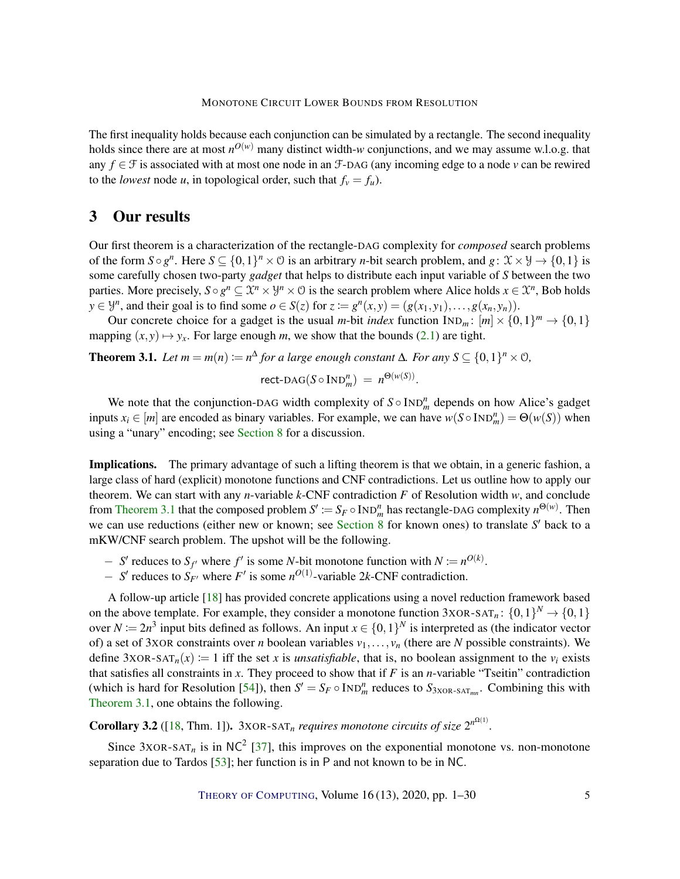<span id="page-4-2"></span>The first inequality holds because each conjunction can be simulated by a rectangle. The second inequality holds since there are at most  $n^{O(w)}$  many distinct width-*w* conjunctions, and we may assume w.l.o.g. that any *f* ∈ F is associated with at most one node in an F-DAG (any incoming edge to a node *v* can be rewired to the *lowest* node *u*, in topological order, such that  $f_v = f_u$ ).

# <span id="page-4-0"></span>3 Our results

Our first theorem is a characterization of the rectangle-DAG complexity for *composed* search problems of the form  $S \circ g^n$ . Here  $S \subseteq \{0,1\}^n \times \mathcal{O}$  is an arbitrary *n*-bit search problem, and  $g: \mathcal{X} \times \mathcal{Y} \to \{0,1\}$  is some carefully chosen two-party *gadget* that helps to distribute each input variable of *S* between the two parties. More precisely,  $S \circ g^n \subseteq \mathcal{X}^n \times \mathcal{Y}^n \times \mathcal{O}$  is the search problem where Alice holds  $x \in \mathcal{X}^n$ , Bob holds *y* ∈ *y*<sup>*n*</sup>, and their goal is to find some *o* ∈ *S*(*z*) for *z* :=  $g^n(x, y) = (g(x_1, y_1), \ldots, g(x_n, y_n))$ .

Our concrete choice for a gadget is the usual *m*-bit *index* function  $IND_m: [m] \times \{0,1\}^m \rightarrow \{0,1\}$ mapping  $(x, y) \mapsto y_x$ . For large enough *m*, we show that the bounds [\(2.1\)](#page-3-1) are tight.

<span id="page-4-1"></span>**Theorem 3.1.** *Let*  $m = m(n) := n^{\Delta}$  *for a large enough constant*  $\Delta$ *. For any*  $S \subseteq \{0,1\}^n \times \emptyset$ *,* 

$$
\text{rect-}\text{DAG}(S \circ \text{IND}_m^n) = n^{\Theta(w(S))}.
$$

We note that the conjunction-DAG width complexity of  $S \circ \text{IND}_m^n$  depends on how Alice's gadget inputs  $x_i \in [m]$  are encoded as binary variables. For example, we can have  $w(S \circ \text{IND}_m^n) = \Theta(w(S))$  when using a "unary" encoding; see [Section 8](#page-19-0) for a discussion.

Implications. The primary advantage of such a lifting theorem is that we obtain, in a generic fashion, a large class of hard (explicit) monotone functions and CNF contradictions. Let us outline how to apply our theorem. We can start with any *n*-variable  $k$ -CNF contradiction  $F$  of Resolution width  $w$ , and conclude from [Theorem 3.1](#page-4-1) that the composed problem  $S' := S_F \circ \text{IND}_m^n$  has rectangle-DAG complexity  $n^{\Theta(w)}$ . Then we can use reductions (either new or known; see [Section 8](#page-19-0) for known ones) to translate S' back to a mKW/CNF search problem. The upshot will be the following.

- − *S*<sup> $\prime$ </sup> reduces to *S*<sub>*f*</sub><sup> $\prime$ </sup> where *f*<sup> $\prime$ </sup> is some *N*-bit monotone function with *N* := *n*<sup>*O*(*k*)</sup>.
- − *S*<sup> $\prime$ </sup> reduces to *S<sub>F<sup>\prime</math* $</sup> where$ *F* $<sup>$\prime$ </sup> is some *n*<sup>*O*(1)</sup>-variable 2*k*-CNF contradiction.</sub></sup></sup>$

A follow-up article [\[18\]](#page-24-4) has provided concrete applications using a novel reduction framework based on the above template. For example, they consider a monotone function  $3XOR-SAT_n$ :  $\{0,1\}^N \rightarrow \{0,1\}$ over  $N := 2n^3$  input bits defined as follows. An input  $x \in \{0,1\}^N$  is interpreted as (the indicator vector of) a set of 3XOR constraints over *n* boolean variables  $v_1, \ldots, v_n$  (there are *N* possible constraints). We define  $3XOR-SAT_n(x) := 1$  iff the set *x* is *unsatisfiable*, that is, no boolean assignment to the  $v_i$  exists that satisfies all constraints in *x*. They proceed to show that if *F* is an *n*-variable "Tseitin" contradiction (which is hard for Resolution [\[54\]](#page-27-4)), then  $S' = S_F \circ \text{IND}_m^n$  reduces to  $S_{3XOR-SAT_{mn}}$ . Combining this with [Theorem 3.1,](#page-4-1) one obtains the following.

**Corollary 3.2** ([\[18,](#page-24-4) Thm. 1]).  $3XOR-SAT_n$  *requires monotone circuits of size*  $2^{n^{\Omega(1)}}$ .

Since  $3XOR-SAT<sub>n</sub>$  is in NC<sup>2</sup> [\[37\]](#page-26-5), this improves on the exponential monotone vs. non-monotone separation due to Tardos [\[53\]](#page-27-5); her function is in P and not known to be in NC.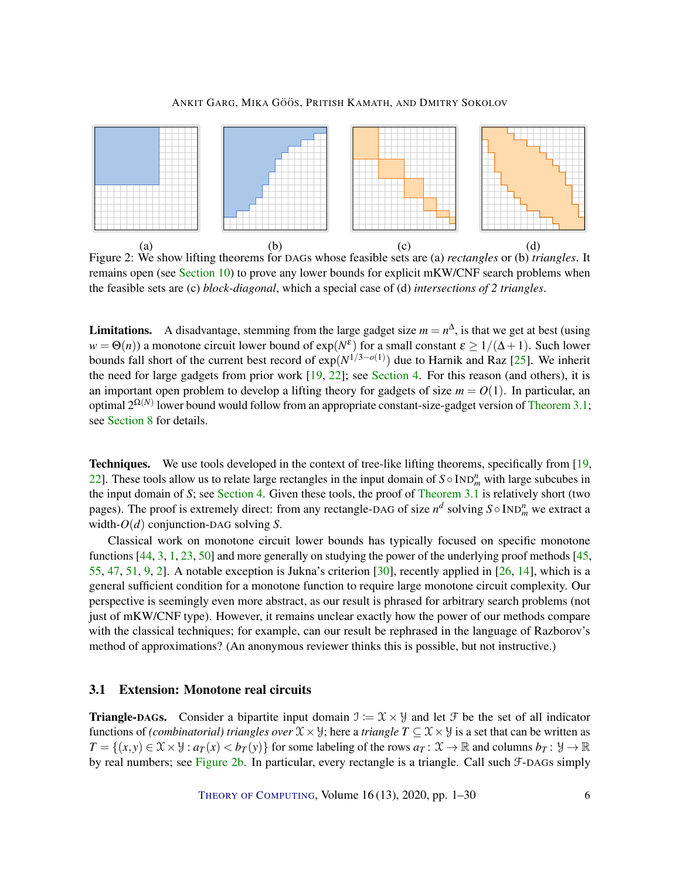<span id="page-5-1"></span><span id="page-5-0"></span>

Figure 2: We show lifting theorems for DAGs whose feasible sets are (a) *rectangles* or (b) *triangles*. It remains open (see [Section 10\)](#page-22-0) to prove any lower bounds for explicit mKW/CNF search problems when the feasible sets are (c) *block-diagonal*, which a special case of (d) *intersections of 2 triangles*.

**Limitations.** A disadvantage, stemming from the large gadget size  $m = n^{\Delta}$ , is that we get at best (using  $w = \Theta(n)$ ) a monotone circuit lower bound of  $exp(N^{\epsilon})$  for a small constant  $\epsilon \ge 1/(\Delta+1)$ . Such lower bounds fall short of the current best record of exp(*N* 1/3−*o*(1) ) due to Harnik and Raz [\[25\]](#page-25-6). We inherit the need for large gadgets from prior work [\[19,](#page-24-6) [22\]](#page-25-7); see [Section 4.](#page-7-0) For this reason (and others), it is an important open problem to develop a lifting theory for gadgets of size  $m = O(1)$ . In particular, an optimal  $2^{\Omega(N)}$  lower bound would follow from an appropriate constant-size-gadget version of [Theorem 3.1;](#page-4-1) see [Section 8](#page-19-0) for details.

Techniques. We use tools developed in the context of tree-like lifting theorems, specifically from [\[19,](#page-24-6) [22\]](#page-25-7). These tools allow us to relate large rectangles in the input domain of  $S \circ \text{IND}_m^n$  with large subcubes in the input domain of *S*; see [Section 4.](#page-7-0) Given these tools, the proof of [Theorem 3.1](#page-4-1) is relatively short (two pages). The proof is extremely direct: from any rectangle-DAG of size  $n^d$  solving  $S \circ \text{IND}_m^n$  we extract a width-*O*(*d*) conjunction-DAG solving *S*.

Classical work on monotone circuit lower bounds has typically focused on specific monotone functions [\[44,](#page-26-6) [3,](#page-23-1) [1,](#page-23-2) [23,](#page-25-8) [50\]](#page-27-6) and more generally on studying the power of the underlying proof methods [\[45,](#page-26-7) [55,](#page-27-7) [47,](#page-26-8) [51,](#page-27-8) [9,](#page-24-7) [2\]](#page-23-3). A notable exception is Jukna's criterion [\[30\]](#page-25-9), recently applied in [\[26,](#page-25-10) [14\]](#page-24-8), which is a general sufficient condition for a monotone function to require large monotone circuit complexity. Our perspective is seemingly even more abstract, as our result is phrased for arbitrary search problems (not just of mKW/CNF type). However, it remains unclear exactly how the power of our methods compare with the classical techniques; for example, can our result be rephrased in the language of Razborov's method of approximations? (An anonymous reviewer thinks this is possible, but not instructive.)

## 3.1 Extension: Monotone real circuits

**Triangle-DAGs.** Consider a bipartite input domain  $\mathcal{I} := \mathcal{X} \times \mathcal{Y}$  and let  $\mathcal{F}$  be the set of all indicator functions of *(combinatorial) triangles over*  $\mathcal{X} \times \mathcal{Y}$ ; here a *triangle*  $T \subseteq \mathcal{X} \times \mathcal{Y}$  is a set that can be written as  $T = \{(x, y) \in \mathcal{X} \times \mathcal{Y} : a_T(x) < b_T(y)\}$  for some labeling of the rows  $a_T : \mathcal{X} \to \mathbb{R}$  and columns  $b_T : \mathcal{Y} \to \mathbb{R}$ by real numbers; see [Figure](#page-5-0) [2b](#page-5-0). In particular, every rectangle is a triangle. Call such F-DAGs simply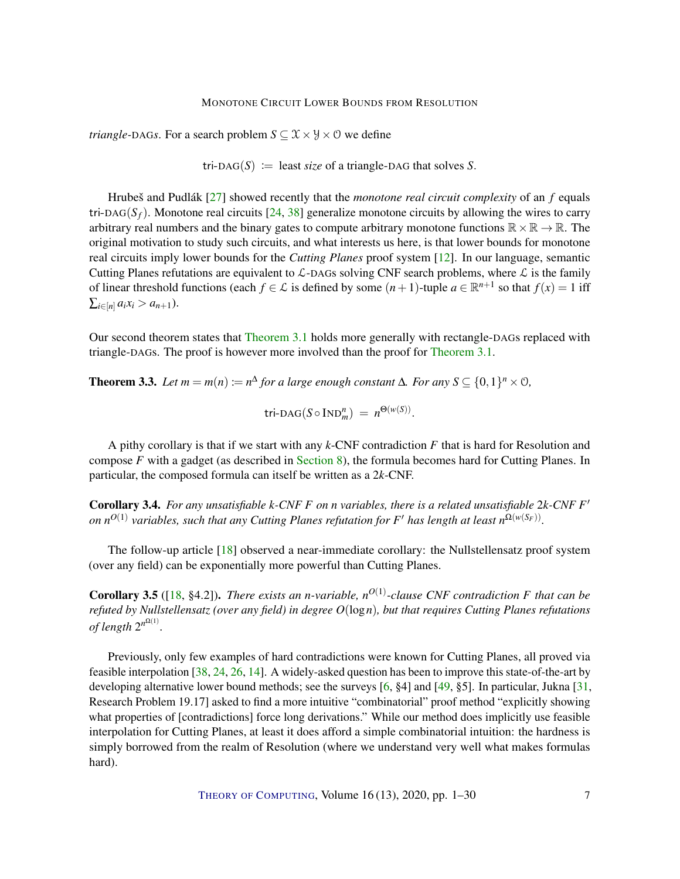<span id="page-6-2"></span>*triangle-DAGs*. For a search problem  $S \subseteq \mathcal{X} \times \mathcal{Y} \times \mathcal{O}$  we define

tri-DAG( $S$ ) := least *size* of a triangle-DAG that solves  $S$ .

Hrubeš and Pudlák [\[27\]](#page-25-11) showed recently that the *monotone real circuit complexity* of an *f* equals tri-DAG( $S_f$ ). Monotone real circuits [\[24,](#page-25-12) [38\]](#page-26-9) generalize monotone circuits by allowing the wires to carry arbitrary real numbers and the binary gates to compute arbitrary monotone functions  $\mathbb{R} \times \mathbb{R} \to \mathbb{R}$ . The original motivation to study such circuits, and what interests us here, is that lower bounds for monotone real circuits imply lower bounds for the *Cutting Planes* proof system [\[12\]](#page-24-9). In our language, semantic Cutting Planes refutations are equivalent to  $\mathcal{L}$ -DAGs solving CNF search problems, where  $\mathcal{L}$  is the family of linear threshold functions (each  $f \in \mathcal{L}$  is defined by some  $(n+1)$ -tuple  $a \in \mathbb{R}^{n+1}$  so that  $f(x) = 1$  iff  $\sum_{i \in [n]} a_i x_i > a_{n+1}$ .

Our second theorem states that [Theorem 3.1](#page-4-1) holds more generally with rectangle-DAGs replaced with triangle-DAGs. The proof is however more involved than the proof for [Theorem 3.1.](#page-4-1)

<span id="page-6-0"></span>**Theorem 3.3.** Let  $m = m(n) := n^{\Delta}$  for a large enough constant  $\Delta$ *. For any*  $S \subseteq \{0,1\}^n \times \mathcal{O}$ *,* 

 $\text{tri-}\text{DAG}(S \circ \text{IND}_m^n) = n^{\Theta(w(S))}.$ 

A pithy corollary is that if we start with any *k*-CNF contradiction *F* that is hard for Resolution and compose *F* with a gadget (as described in [Section 8\)](#page-19-0), the formula becomes hard for Cutting Planes. In particular, the composed formula can itself be written as a 2*k*-CNF.

<span id="page-6-1"></span>Corollary 3.4. *For any unsatisfiable k-CNF F on n variables, there is a related unsatisfiable* 2*k-CNF F* 0  $\phi$  *on n*<sup>O(1)</sup> variables, such that any Cutting Planes refutation for F' has length at least n<sup>Q(w(S<sub>F</sub>))</sup>.

The follow-up article [\[18\]](#page-24-4) observed a near-immediate corollary: the Nullstellensatz proof system (over any field) can be exponentially more powerful than Cutting Planes.

**Corollary 3.5** ([\[18,](#page-24-4) §4.2]). *There exists an n-variable, n*<sup>O(1)</sup>-clause CNF contradiction F that can be *refuted by Nullstellensatz (over any field) in degree O*(log*n*)*, but that requires Cutting Planes refutations of length*  $2^{n^{\Omega(1)}}$ .

Previously, only few examples of hard contradictions were known for Cutting Planes, all proved via feasible interpolation [\[38,](#page-26-9) [24,](#page-25-12) [26,](#page-25-10) [14\]](#page-24-8). A widely-asked question has been to improve this state-of-the-art by developing alternative lower bound methods; see the surveys [\[6,](#page-23-4) §4] and [\[49,](#page-27-9) §5]. In particular, Jukna [\[31,](#page-25-0) Research Problem 19.17] asked to find a more intuitive "combinatorial" proof method "explicitly showing what properties of [contradictions] force long derivations." While our method does implicitly use feasible interpolation for Cutting Planes, at least it does afford a simple combinatorial intuition: the hardness is simply borrowed from the realm of Resolution (where we understand very well what makes formulas hard).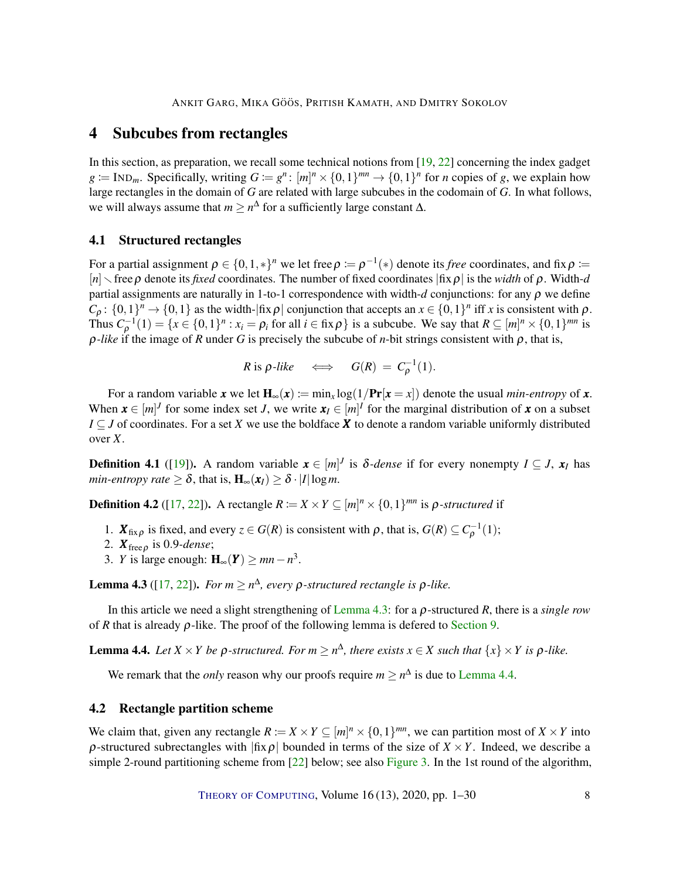# <span id="page-7-4"></span><span id="page-7-0"></span>4 Subcubes from rectangles

In this section, as preparation, we recall some technical notions from [\[19,](#page-24-6) [22\]](#page-25-7) concerning the index gadget  $g := \text{IND}_m$ . Specifically, writing  $G := g^n : [m]^n \times \{0,1\}^{mn} \to \{0,1\}^n$  for *n* copies of *g*, we explain how large rectangles in the domain of *G* are related with large subcubes in the codomain of *G*. In what follows, we will always assume that  $m \geq n^{\Delta}$  for a sufficiently large constant  $\Delta$ .

## 4.1 Structured rectangles

For a partial assignment  $\rho \in \{0,1,*\}^n$  we let free  $\rho \coloneqq \rho^{-1}(*)$  denote its *free* coordinates, and fix  $\rho \coloneqq$  $[n]$  free  $\rho$  denote its *fixed* coordinates. The number of fixed coordinates  $|\text{fix } \rho|$  is the *width* of  $\rho$ . Width-*d* partial assignments are naturally in 1-to-1 correspondence with width- $d$  conjunctions: for any  $\rho$  we define  $C_{\rho}$ :  $\{0,1\}^n \to \{0,1\}$  as the width- $|\text{fix}\rho|$  conjunction that accepts an  $x \in \{0,1\}^n$  iff *x* is consistent with  $\rho$ . Thus  $C_{\rho}^{-1}(1) = \{x \in \{0,1\}^n : x_i = \rho_i \text{ for all } i \in \text{fix }\rho\}$  is a subcube. We say that  $R \subseteq [m]^n \times \{0,1\}^{mn}$  is  $\rho$ -like if the image of *R* under *G* is precisely the subcube of *n*-bit strings consistent with  $\rho$ , that is,

$$
R \text{ is } \rho\text{-like} \quad \Longleftrightarrow \quad G(R) = C_{\rho}^{-1}(1).
$$

For a random variable *x* we let  $H_{\infty}(x) := \min_{x} \log(1/Pr[x = x])$  denote the usual *min-entropy* of *x*. When  $\mathbf{x} \in [m]^J$  for some index set *J*, we write  $\mathbf{x}_I \in [m]^I$  for the marginal distribution of  $\mathbf{x}$  on a subset *I* ⊆ *J* of coordinates. For a set *X* we use the boldface *X* to denote a random variable uniformly distributed over *X*.

**Definition 4.1** ([\[19\]](#page-24-6)). A random variable  $\mathbf{x} \in [m]^J$  is  $\delta$ -dense if for every nonempty  $I \subseteq J$ ,  $\mathbf{x}_I$  has *min-entropy rate*  $\geq \delta$ , that is,  $H_{\infty}(x_I) \geq \delta \cdot |I| \log m$ .

<span id="page-7-3"></span>**Definition 4.2** ([\[17,](#page-24-10) [22\]](#page-25-7)). A rectangle  $R := X \times Y \subseteq [m]^n \times \{0,1\}^{mn}$  is  $\rho$ -structured if

- 1.  $\mathbf{X}_{\text{fix}\rho}$  is fixed, and every  $z \in G(R)$  is consistent with  $\rho$ , that is,  $G(R) \subseteq C_{\rho}^{-1}(1)$ ;
- 2. *X*free<sup>ρ</sup> is 0.9*-dense*;
- 3. *Y* is large enough:  $H_{\infty}(Y) \ge mn n^3$ .

<span id="page-7-1"></span>**Lemma 4.3** ([\[17,](#page-24-10) [22\]](#page-25-7)). *For m*  $\geq$  *n*<sup> $\triangle$ </sup>, *every p*-structured rectangle is *p*-like.

In this article we need a slight strengthening of [Lemma](#page-7-1) [4.3:](#page-7-1) for a ρ-structured *R*, there is a *single row* of *R* that is already  $\rho$ -like. The proof of the following lemma is defered to [Section 9.](#page-21-0)

<span id="page-7-2"></span>**Lemma 4.4.** Let  $X \times Y$  be  $\rho$ -structured. For  $m \geq n^{\Delta}$ , there exists  $x \in X$  such that  $\{x\} \times Y$  is  $\rho$ -like.

We remark that the *only* reason why our proofs require  $m \ge n^{\Delta}$  is due to [Lemma](#page-7-2) [4.4.](#page-7-2)

## 4.2 Rectangle partition scheme

We claim that, given any rectangle  $R := X \times Y \subseteq [m]^n \times \{0,1\}^{mn}$ , we can partition most of  $X \times Y$  into  $\rho$ -structured subrectangles with  $|\text{fix}\rho|$  bounded in terms of the size of  $X \times Y$ . Indeed, we describe a simple 2-round partitioning scheme from  $[22]$  below; see also [Figure 3.](#page-8-0) In the 1st round of the algorithm,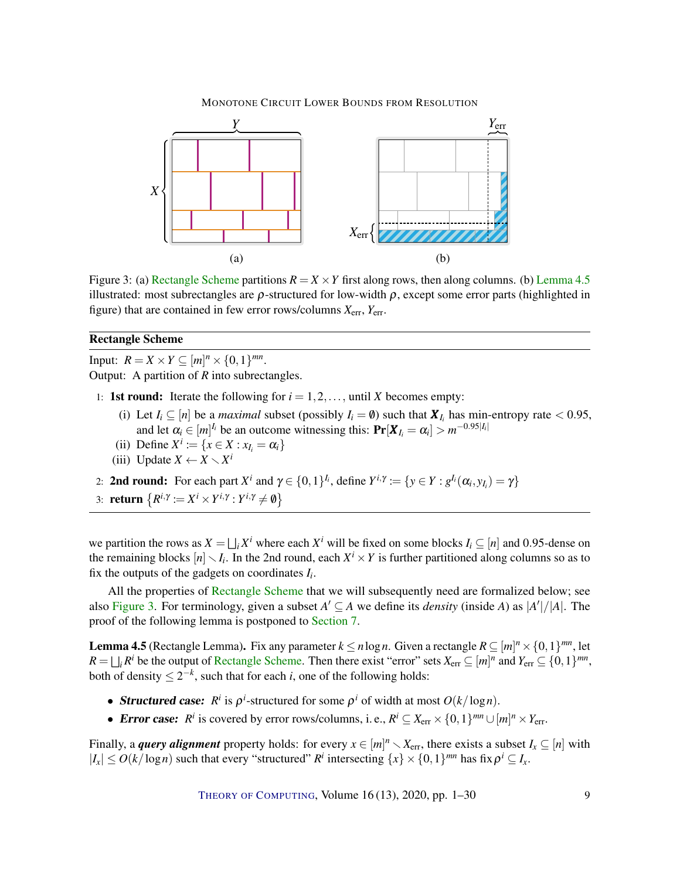<span id="page-8-0"></span>

Figure 3: (a) [Rectangle Scheme](#page-0-0) partitions  $R = X \times Y$  first along rows, then along columns. (b) [Lemma](#page-8-1) [4.5](#page-8-1) illustrated: most subrectangles are  $\rho$ -structured for low-width  $\rho$ , except some error parts (highlighted in figure) that are contained in few error rows/columns *X*err, *Y*err.

## Rectangle Scheme

Input:  $R = X \times Y \subseteq [m]^n \times \{0, 1\}^{mn}$ . Output: A partition of *R* into subrectangles.

- 1: **1st round:** Iterate the following for  $i = 1, 2, \ldots$ , until *X* becomes empty:
	- (i) Let  $I_i \subseteq [n]$  be a *maximal* subset (possibly  $I_i = \emptyset$ ) such that  $X_{I_i}$  has min-entropy rate < 0.95, and let  $\alpha_i \in [m]^{\mathfrak{l}_i}$  be an outcome witnessing this:  $\Pr[X_{\mathfrak{l}_i} = \alpha_i] > m^{-0.95|\mathfrak{l}_i|}$
	- (ii) Define  $X^i := \{x \in X : x_{I_i} = \alpha_i\}$
	- (iii) Update  $X \leftarrow X \setminus X^i$
- 2: **2nd round:** For each part  $X^i$  and  $\gamma \in \{0,1\}^{I_i}$ , define  $Y^{i,\gamma} := \{y \in Y : g^{I_i}(\alpha_i, y_{I_i}) = \gamma\}$
- 3: **return**  $\{R^{i,\gamma} := X^i \times Y^{i,\gamma} : Y^{i,\gamma} \neq \emptyset\}$

we partition the rows as  $X = \bigsqcup_i X^i$  where each  $X^i$  will be fixed on some blocks  $I_i \subseteq [n]$  and 0.95-dense on the remaining blocks  $[n] \setminus I_i$ . In the 2nd round, each  $X^i \times Y$  is further partitioned along columns so as to fix the outputs of the gadgets on coordinates *I<sup>i</sup>* .

All the properties of [Rectangle Scheme](#page-0-0) that we will subsequently need are formalized below; see also [Figure 3.](#page-8-0) For terminology, given a subset  $A' \subseteq A$  we define its *density* (inside A) as  $|A'|/|A|$ . The proof of the following lemma is postponed to [Section 7.](#page-13-0)

<span id="page-8-1"></span>**Lemma 4.5** (Rectangle Lemma). Fix any parameter  $k \le n \log n$ . Given a rectangle  $R \subseteq [m]^n \times \{0,1\}^{mn}$ , let  $R = \bigsqcup_i R^i$  be the output of [Rectangle Scheme.](#page-0-0) Then there exist "error" sets  $X_{err} \subseteq [m]^n$  and  $Y_{err} \subseteq \{0,1\}^{mn}$ , both of density  $\leq 2^{-k}$ , such that for each *i*, one of the following holds:

- **Structured case:**  $R^i$  is  $\rho^i$ -structured for some  $\rho^i$  of width at most  $O(k/\log n)$ .
- **Error case:**  $R^i$  is covered by error rows/columns, i. e.,  $R^i \subseteq X_{err} \times \{0,1\}^{mn} \cup [m]^n \times Y_{err}$ .

Finally, a *query alignment* property holds: for every  $x \in [m]^n \setminus X_{\text{err}}$ , there exists a subset  $I_x \subseteq [n]$  with  $|I_x| \leq O(k/\log n)$  such that every "structured"  $R^i$  intersecting  $\{x\} \times \{0,1\}^{mn}$  has fix  $\rho^i \subseteq I_x$ .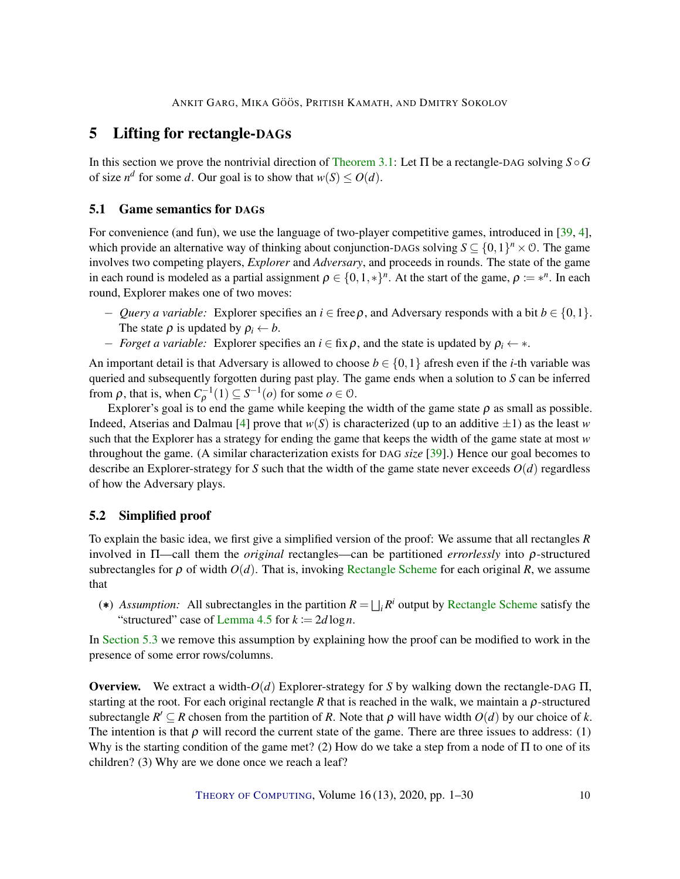# <span id="page-9-2"></span>5 Lifting for rectangle-DAGs

In this section we prove the nontrivial direction of [Theorem 3.1:](#page-4-1) Let Π be a rectangle-DAG solving *S* ◦*G* of size  $n^d$  for some *d*. Our goal is to show that  $w(S) \leq O(d)$ .

# 5.1 Game semantics for DAGs

For convenience (and fun), we use the language of two-player competitive games, introduced in [\[39,](#page-26-10) [4\]](#page-23-5), which provide an alternative way of thinking about conjunction-DAGs solving  $S \subseteq \{0,1\}^n \times \mathcal{O}$ . The game involves two competing players, *Explorer* and *Adversary*, and proceeds in rounds. The state of the game in each round is modeled as a partial assignment  $\rho \in \{0,1,*\}^n$ . At the start of the game,  $\rho \coloneqq *^n$ . In each round, Explorer makes one of two moves:

- − *Query a variable:* Explorer specifies an *i* ∈ freeρ, and Adversary responds with a bit *b* ∈ {0,1}. The state  $\rho$  is updated by  $\rho_i \leftarrow b$ .
- − *Forget a variable:* Explorer specifies an *i* ∈ fixρ, and the state is updated by ρ*<sup>i</sup>* ← ∗.

An important detail is that Adversary is allowed to choose  $b \in \{0,1\}$  afresh even if the *i*-th variable was queried and subsequently forgotten during past play. The game ends when a solution to *S* can be inferred from  $\rho$ , that is, when  $C_{\rho}^{-1}(1) \subseteq S^{-1}(o)$  for some  $o \in \mathcal{O}$ .

Explorer's goal is to end the game while keeping the width of the game state  $\rho$  as small as possible. Indeed, Atserias and Dalmau [\[4\]](#page-23-5) prove that  $w(S)$  is characterized (up to an additive  $\pm 1$ ) as the least *w* such that the Explorer has a strategy for ending the game that keeps the width of the game state at most *w* throughout the game. (A similar characterization exists for DAG *size* [\[39\]](#page-26-10).) Hence our goal becomes to describe an Explorer-strategy for *S* such that the width of the game state never exceeds  $O(d)$  regardless of how the Adversary plays.

# <span id="page-9-1"></span>5.2 Simplified proof

To explain the basic idea, we first give a simplified version of the proof: We assume that all rectangles *R* involved in Π—call them the *original* rectangles—can be partitioned *errorlessly* into ρ-structured subrectangles for  $\rho$  of width  $O(d)$ . That is, invoking [Rectangle Scheme](#page-0-0) for each original *R*, we assume that

<span id="page-9-0"></span>(\*) *Assumption:* All subrectangles in the partition  $R = \bigsqcup_i R^i$  output by [Rectangle Scheme](#page-0-0) satisfy the "structured" case of [Lemma](#page-8-1) [4.5](#page-8-1) for  $k := 2d \log n$ .

In [Section 5.3](#page-11-0) we remove this assumption by explaining how the proof can be modified to work in the presence of some error rows/columns.

Overview. We extract a width-*O*(*d*) Explorer-strategy for *S* by walking down the rectangle-DAG Π, starting at the root. For each original rectangle *R* that is reached in the walk, we maintain a ρ-structured subrectangle  $R' \subseteq R$  chosen from the partition of R. Note that  $\rho$  will have width  $O(d)$  by our choice of k. The intention is that  $\rho$  will record the current state of the game. There are three issues to address: (1) Why is the starting condition of the game met? (2) How do we take a step from a node of  $\Pi$  to one of its children? (3) Why are we done once we reach a leaf?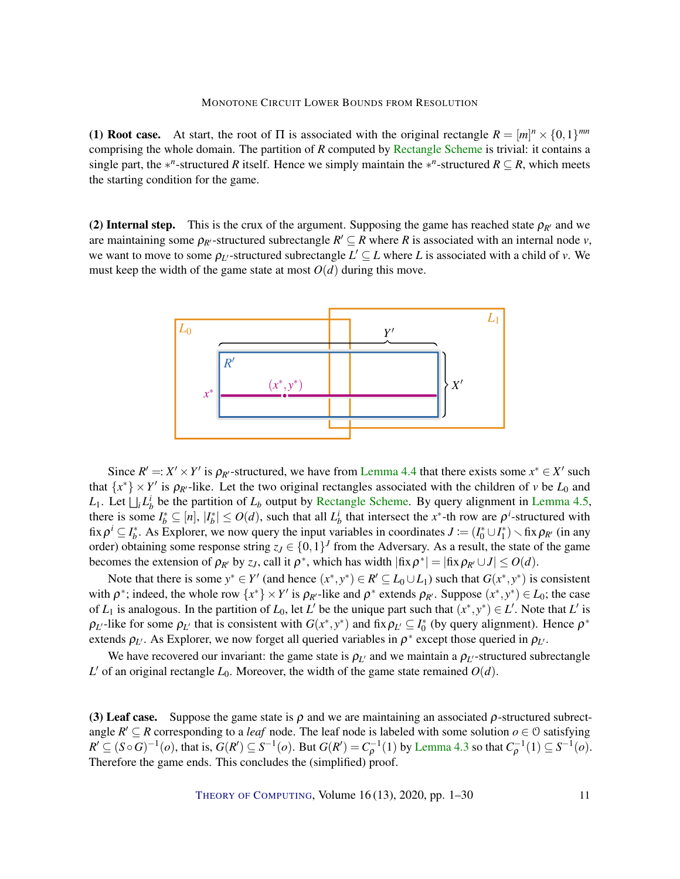(1) **Root case.** At start, the root of  $\Pi$  is associated with the original rectangle  $R = [m]^n \times \{0,1\}^{mn}$ comprising the whole domain. The partition of *R* computed by [Rectangle Scheme](#page-0-0) is trivial: it contains a single part, the  $*^n$ -structured *R* itself. Hence we simply maintain the  $*^n$ -structured  $R \subseteq R$ , which meets the starting condition for the game.

(2) Internal step. This is the crux of the argument. Supposing the game has reached state  $\rho_{R'}$  and we are maintaining some  $\rho_{R'}$ -structured subrectangle  $R' \subseteq R$  where R is associated with an internal node *v*, we want to move to some  $\rho_{L'}$ -structured subrectangle  $L' \subseteq L$  where L is associated with a child of *v*. We must keep the width of the game state at most  $O(d)$  during this move.



Since  $R' =: X' \times Y'$  is  $\rho_{R'}$ -structured, we have from [Lemma](#page-7-2) [4.4](#page-7-2) that there exists some  $x^* \in X'$  such that  $\{x^*\}\times Y'$  is  $\rho_{R'}$ -like. Let the two original rectangles associated with the children of *v* be  $L_0$  and *L*<sub>1</sub>. Let  $\bigsqcup_i L_b^i$  be the partition of  $L_b$  output by [Rectangle Scheme.](#page-0-0) By query alignment in [Lemma](#page-8-1) [4.5,](#page-8-1) there is some  $I_b^* \subseteq [n]$ ,  $|I_b^*| \leq O(d)$ , such that all  $L_b^i$  that intersect the *x*<sup>\*</sup>-th row are  $\rho^i$ -structured with fix  $\rho^i \subseteq I_b^*$ . As Explorer, we now query the input variables in coordinates  $J := (I_0^* \cup I_1^*) \setminus \text{fix } \rho_{R'}$  (in any order) obtaining some response string  $z_J \in \{0,1\}^J$  from the Adversary. As a result, the state of the game becomes the extension of  $\rho_{R'}$  by  $z_J$ , call it  $\rho^*$ , which has width  $|\text{fix}\,\rho^*| = |\text{fix}\,\rho_{R'} \cup J| \leq O(d)$ .

Note that there is some  $y^* \in Y'$  (and hence  $(x^*, y^*) \in R' \subseteq L_0 \cup L_1$ ) such that  $G(x^*, y^*)$  is consistent with  $\rho^*$ ; indeed, the whole row  $\{x^*\}\times Y'$  is  $\rho_{R'}$ -like and  $\rho^*$  extends  $\rho_{R'}$ . Suppose  $(x^*, y^*) \in L_0$ ; the case of  $L_1$  is analogous. In the partition of  $L_0$ , let  $L'$  be the unique part such that  $(x^*, y^*) \in L'$ . Note that  $L'$  is  $\rho_{L'}$ -like for some  $\rho_{L'}$  that is consistent with  $G(x^*, y^*)$  and fix  $\rho_{L'} \subseteq I_0^*$  (by query alignment). Hence  $\rho^*$ extends  $\rho_{L'}$ . As Explorer, we now forget all queried variables in  $\rho^*$  except those queried in  $\rho_{L'}$ .

We have recovered our invariant: the game state is  $\rho_{L'}$  and we maintain a  $\rho_{L'}$ -structured subrectangle  $L'$  of an original rectangle  $L_0$ . Moreover, the width of the game state remained  $O(d)$ .

(3) Leaf case. Suppose the game state is  $\rho$  and we are maintaining an associated  $\rho$ -structured subrectangle  $R' \subseteq R$  corresponding to a *leaf* node. The leaf node is labeled with some solution  $o \in \mathcal{O}$  satisfying  $R' \subseteq (S \circ G)^{-1}(o)$ , that is,  $G(R') \subseteq S^{-1}(o)$ . But  $G(R') = C_{\rho}^{-1}(1)$  by [Lemma](#page-7-1) [4.3](#page-7-1) so that  $C_{\rho}^{-1}(1) \subseteq S^{-1}(o)$ . Therefore the game ends. This concludes the (simplified) proof.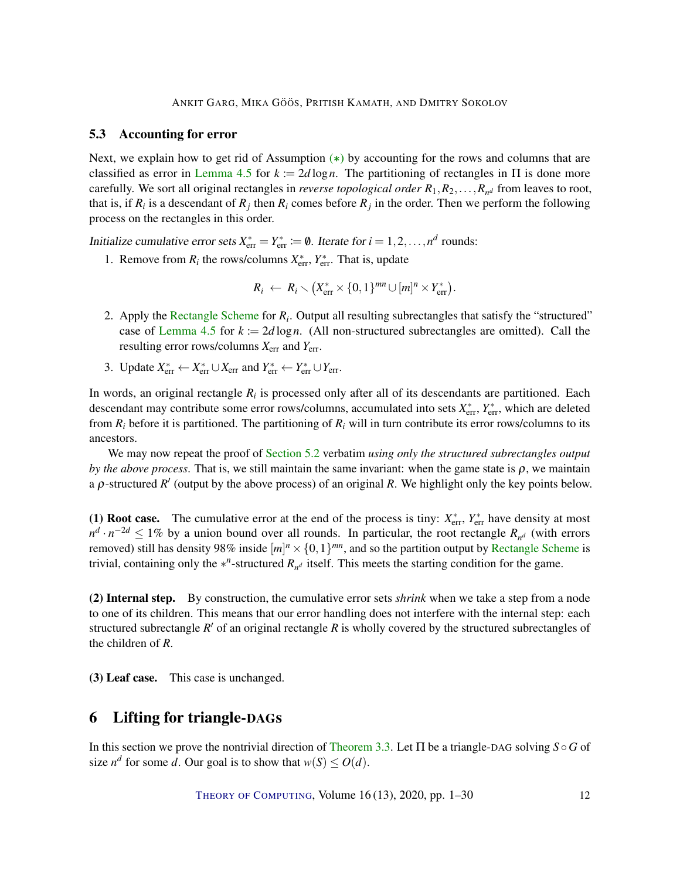## <span id="page-11-0"></span>5.3 Accounting for error

Next, we explain how to get rid of Assumption  $(*)$  by accounting for the rows and columns that are classified as error in [Lemma](#page-8-1) [4.5](#page-8-1) for  $k = 2d \log n$ . The partitioning of rectangles in  $\Pi$  is done more carefully. We sort all original rectangles in *reverse topological order*  $R_1, R_2, \ldots, R_{n^d}$  from leaves to root, that is, if  $R_i$  is a descendant of  $R_j$  then  $R_i$  comes before  $R_j$  in the order. Then we perform the following process on the rectangles in this order.

Initialize cumulative error sets  $X_{\text{err}}^* = Y_{\text{err}}^* := \emptyset$ . Iterate for  $i = 1, 2, ..., n^d$  rounds:

1. Remove from  $R_i$  the rows/columns  $X_{\text{err}}^*$ ,  $Y_{\text{err}}^*$ . That is, update

$$
R_i \leftarrow R_i \setminus \left(X_{\text{err}}^* \times \{0,1\}^{mn} \cup [m]^n \times Y_{\text{err}}^*\right).
$$

- 2. Apply the [Rectangle Scheme](#page-0-0) for  $R_i$ . Output all resulting subrectangles that satisfy the "structured" case of [Lemma](#page-8-1) [4.5](#page-8-1) for  $k := 2d \log n$ . (All non-structured subrectangles are omitted). Call the resulting error rows/columns *X*err and *Y*err.
- 3. Update  $X_{\text{err}}^* \leftarrow X_{\text{err}}^* \cup X_{\text{err}}$  and  $Y_{\text{err}}^* \leftarrow Y_{\text{err}}^* \cup Y_{\text{err}}$ .

In words, an original rectangle  $R_i$  is processed only after all of its descendants are partitioned. Each descendant may contribute some error rows/columns, accumulated into sets  $X_{\text{err}}^*$ ,  $Y_{\text{err}}^*$ , which are deleted from  $R_i$  before it is partitioned. The partitioning of  $R_i$  will in turn contribute its error rows/columns to its ancestors.

We may now repeat the proof of [Section 5.2](#page-9-1) verbatim *using only the structured subrectangles output by the above process*. That is, we still maintain the same invariant: when the game state is  $\rho$ , we maintain a  $\rho$ -structured  $R'$  (output by the above process) of an original  $R$ . We highlight only the key points below.

(1) **Root case.** The cumulative error at the end of the process is tiny:  $X_{\text{err}}^*$ ,  $Y_{\text{err}}^*$  have density at most  $n^d \cdot n^{-2d} \leq 1\%$  by a union bound over all rounds. In particular, the root rectangle  $R_{n^d}$  (with errors removed) still has density 98% inside  $[m]^n \times \{0,1\}^{mn}$ , and so the partition output by [Rectangle Scheme](#page-0-0) is trivial, containing only the  $*^n$ -structured  $R_{n^d}$  itself. This meets the starting condition for the game.

(2) Internal step. By construction, the cumulative error sets *shrink* when we take a step from a node to one of its children. This means that our error handling does not interfere with the internal step: each structured subrectangle  $R'$  of an original rectangle  $R$  is wholly covered by the structured subrectangles of the children of *R*.

(3) Leaf case. This case is unchanged.

# 6 Lifting for triangle-DAGs

In this section we prove the nontrivial direction of [Theorem 3.3.](#page-6-0) Let Π be a triangle-DAG solving *S* ◦*G* of size  $n^d$  for some *d*. Our goal is to show that  $w(S) \leq O(d)$ .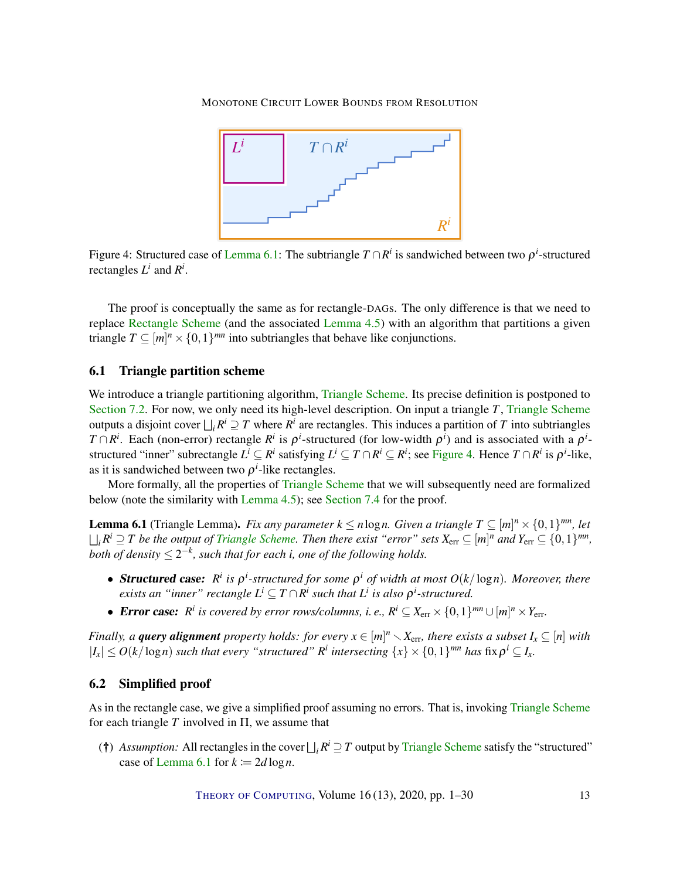<span id="page-12-1"></span>

Figure 4: Structured case of [Lemma](#page-12-0) [6.1:](#page-12-0) The subtriangle  $T \cap R^i$  is sandwiched between two  $\rho^i$ -structured rectangles  $L^i$  and  $R^i$ .

The proof is conceptually the same as for rectangle-DAGs. The only difference is that we need to replace [Rectangle Scheme](#page-0-0) (and the associated [Lemma](#page-8-1) [4.5\)](#page-8-1) with an algorithm that partitions a given triangle  $T \subseteq [m]^n \times \{0,1\}^{mn}$  into subtriangles that behave like conjunctions.

## <span id="page-12-3"></span>6.1 Triangle partition scheme

We introduce a triangle partitioning algorithm, [Triangle Scheme.](#page-0-0) Its precise definition is postponed to [Section 7.2.](#page-14-0) For now, we only need its high-level description. On input a triangle *T*, [Triangle Scheme](#page-0-0) outputs a disjoint cover  $\bigsqcup_i R^i \supseteq T$  where  $R^i$  are rectangles. This induces a partition of *T* into subtriangles *T* ∩ *R*<sup>*i*</sup>. Each (non-error) rectangle *R*<sup>*i*</sup> is  $\rho$ <sup>*i*</sup>-structured (for low-width  $\rho$ <sup>*i*</sup>) and is associated with a  $\rho$ <sup>*i*</sup>structured "inner" subrectangle  $L^i \subseteq R^i$  satisfying  $L^i \subseteq T \cap R^i \subseteq R^i$ ; see [Figure 4.](#page-12-1) Hence  $T \cap R^i$  is  $\rho^i$ -like, as it is sandwiched between two  $\rho^i$ -like rectangles.

More formally, all the properties of [Triangle Scheme](#page-0-0) that we will subsequently need are formalized below (note the similarity with [Lemma](#page-8-1) [4.5\)](#page-8-1); see [Section 7.4](#page-19-1) for the proof.

<span id="page-12-0"></span>**Lemma 6.1** (Triangle Lemma). *Fix any parameter*  $k \le n \log n$ . *Given a triangle*  $T \subseteq [m]^n \times \{0,1\}^{mn}$ , *let*  $\bigsqcup_i R^i \supseteq T$  be the output of [Triangle Scheme.](#page-0-0) Then there exist "error" sets  $X_{\text{err}} \subseteq [m]^n$  and  $Y_{\text{err}} \subseteq \{0,1\}^{mn}$ , both of density  $\leq 2^{-k}$ , such that for each i, one of the following holds.

- **Structured case:**  $R^i$  is  $\rho^i$ -structured for some  $\rho^i$  of width at most  $O(k/\log n)$ . Moreover, there *exists an "inner" rectangle*  $L^i \subseteq T \cap R^i$  *such that*  $L^i$  *is also*  $\rho^i$ -structured.
- **Error case:**  $R^i$  is covered by error rows/columns, i. e.,  $R^i \subseteq X_{\text{err}} \times \{0,1\}^{mn} \cup [m]^n \times Y_{\text{err}}$ .

*Finally, a query alignment property holds: for every*  $x \in [m]^n \setminus X_{\text{err}}$ *, there exists a subset*  $I_x \subseteq [n]$  with  $|I_x| \leq O(k/\log n)$  *such that every "structured" R*<sup>*i*</sup> *intersecting*  $\{x\} \times \{0,1\}^{mn}$  *has*  $\text{fix}\rho^i \subseteq I_x$ .

## 6.2 Simplified proof

As in the rectangle case, we give a simplified proof assuming no errors. That is, invoking [Triangle Scheme](#page-0-0) for each triangle  $T$  involved in  $\Pi$ , we assume that

<span id="page-12-2"></span>(†) *Assumption:* All rectangles in the cover  $\bigsqcup_i R^i \supseteq T$  output by [Triangle Scheme](#page-0-0) satisfy the "structured" case of [Lemma](#page-12-0) [6.1](#page-12-0) for  $k := 2d \log n$ .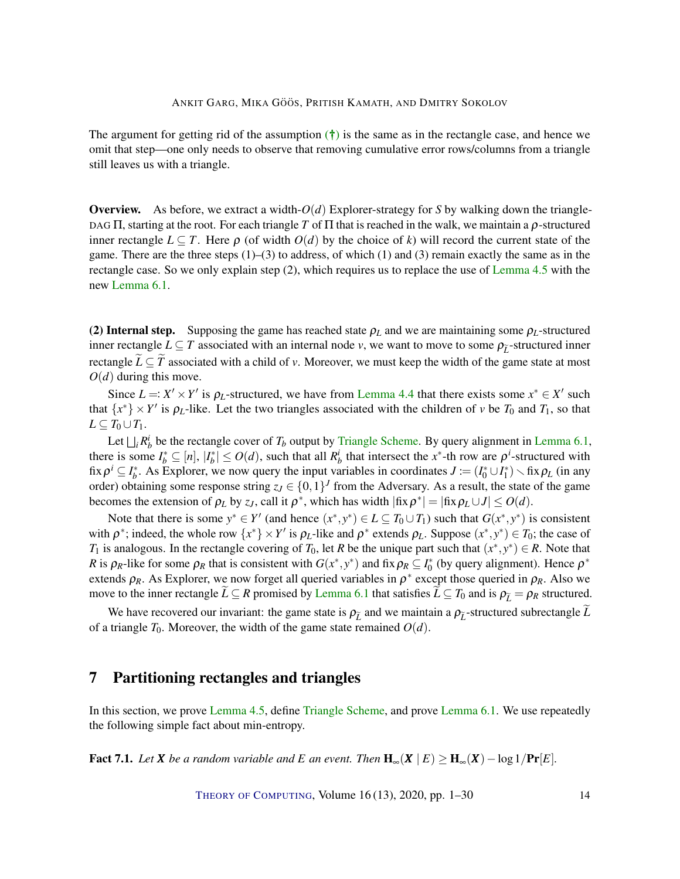The argument for getting rid of the assumption  $(\dagger)$  is the same as in the rectangle case, and hence we omit that step—one only needs to observe that removing cumulative error rows/columns from a triangle still leaves us with a triangle.

Overview. As before, we extract a width-*O*(*d*) Explorer-strategy for *S* by walking down the triangle-DAG Π, starting at the root. For each triangle *T* of Π that is reached in the walk, we maintain a ρ-structured inner rectangle  $L \subset T$ . Here  $\rho$  (of width  $O(d)$  by the choice of k) will record the current state of the game. There are the three steps  $(1)$ – $(3)$  to address, of which  $(1)$  and  $(3)$  remain exactly the same as in the rectangle case. So we only explain step (2), which requires us to replace the use of [Lemma](#page-8-1) [4.5](#page-8-1) with the new [Lemma](#page-12-0) [6.1.](#page-12-0)

(2) Internal step. Supposing the game has reached state  $\rho_L$  and we are maintaining some  $\rho_L$ -structured inner rectangle  $L \subseteq T$  associated with an internal node *v*, we want to move to some  $\rho_{\tilde{t}}$ -structured inner rectangle  $\widetilde{L} \subseteq \widetilde{T}$  associated with a child of *v*. Moreover, we must keep the width of the game state at most  $O(d)$  during this move.

Since  $L =: X' \times Y'$  is  $\rho_L$ -structured, we have from [Lemma](#page-7-2) [4.4](#page-7-2) that there exists some  $x^* \in X'$  such that  $\{x^*\}\times Y'$  is  $\rho_L$ -like. Let the two triangles associated with the children of *v* be  $T_0$  and  $T_1$ , so that *L* ⊂ *T*<sub>0</sub> ∪ *T*<sub>1</sub>.

Let  $\bigsqcup_i R_b^i$  be the rectangle cover of  $T_b$  output by [Triangle Scheme.](#page-0-0) By query alignment in [Lemma](#page-12-0) [6.1,](#page-12-0) there is some  $I_b^* \subseteq [n]$ ,  $|I_b^*| \leq O(d)$ , such that all  $R_b^i$  that intersect the *x*<sup>\*</sup>-th row are  $\rho^i$ -structured with fix  $\rho^i \subseteq I_b^*$ . As Explorer, we now query the input variables in coordinates  $J := (I_0^* \cup I_1^*) \setminus \text{fix } \rho_L$  (in any order) obtaining some response string  $z_J \in \{0,1\}^J$  from the Adversary. As a result, the state of the game becomes the extension of  $\rho_L$  by  $z_J$ , call it  $\rho^*$ , which has width  $|\text{fix}\,\rho^*| = |\text{fix}\,\rho_L \cup J| \leq O(d)$ .

Note that there is some  $y^* \in Y'$  (and hence  $(x^*, y^*) \in L \subseteq T_0 \cup T_1$ ) such that  $G(x^*, y^*)$  is consistent with  $\rho^*$ ; indeed, the whole row  $\{x^*\}\times Y'$  is  $\rho_L$ -like and  $\rho^*$  extends  $\rho_L$ . Suppose  $(x^*, y^*) \in T_0$ ; the case of *T*<sub>1</sub> is analogous. In the rectangle covering of *T*<sub>0</sub>, let *R* be the unique part such that  $(x^*, y^*) \in R$ . Note that *R* is  $\rho_R$ -like for some  $\rho_R$  that is consistent with  $G(x^*, y^*)$  and fix  $\rho_R \subseteq I_0^*$  (by query alignment). Hence  $\rho^*$ extends  $\rho_R$ . As Explorer, we now forget all queried variables in  $\rho^*$  except those queried in  $\rho_R$ . Also we move to the inner rectangle  $\bar{L} \subseteq R$  promised by [Lemma](#page-12-0) [6.1](#page-12-0) that satisfies  $\bar{L} \subseteq T_0$  and is  $\rho_{\bar{L}} = \rho_R$  structured.

We have recovered our invariant: the game state is  $\rho_{\tilde{L}}$  and we maintain a  $\rho_{\tilde{L}}$ -structured subrectangle  $\tilde{L}$ of a triangle  $T_0$ . Moreover, the width of the game state remained  $O(d)$ .

# <span id="page-13-0"></span>7 Partitioning rectangles and triangles

In this section, we prove [Lemma](#page-8-1) [4.5,](#page-8-1) define [Triangle Scheme,](#page-0-0) and prove [Lemma](#page-12-0) [6.1.](#page-12-0) We use repeatedly the following simple fact about min-entropy.

<span id="page-13-1"></span>**Fact 7.1.** *Let X be a random variable and E an event. Then*  $\mathbf{H}_{\infty}(\mathbf{X} \mid E) \ge \mathbf{H}_{\infty}(\mathbf{X}) - \log 1/\mathbf{Pr}[E]$ .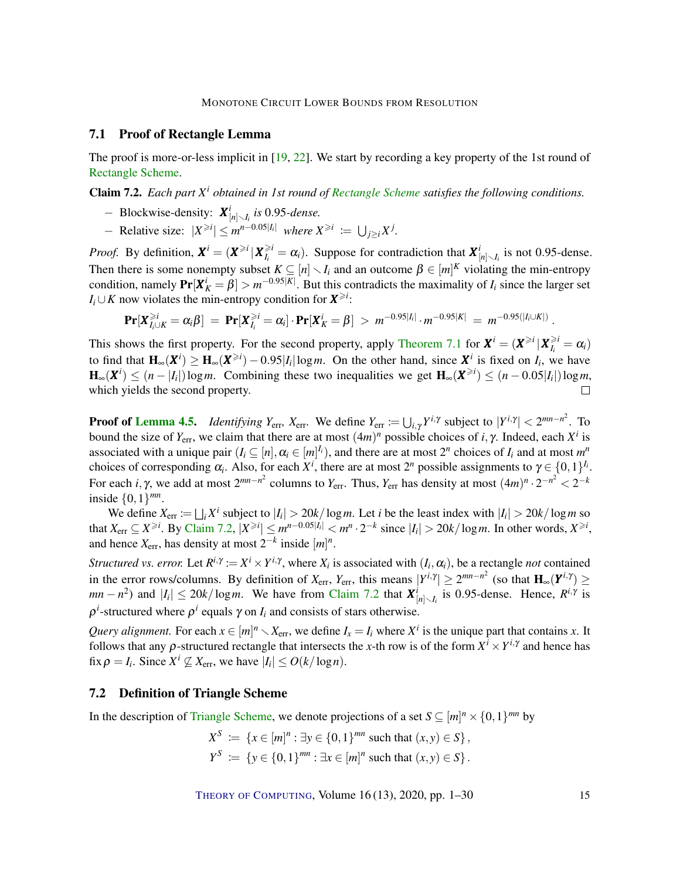## <span id="page-14-2"></span>7.1 Proof of Rectangle Lemma

The proof is more-or-less implicit in [\[19,](#page-24-6) [22\]](#page-25-7). We start by recording a key property of the 1st round of [Rectangle Scheme.](#page-0-0)

<span id="page-14-1"></span>Claim 7.2. *Each part X<sup>i</sup> obtained in 1st round of [Rectangle Scheme](#page-0-0) satisfies the following conditions.*

- − Blockwise-density: *X i* [*n*]r*I<sup>i</sup> is* 0.95*-dense.*
- *−* Relative size:  $|X^{\ge i}| \le m^{n-0.05|I_i|}$  where  $X^{\ge i} := \bigcup_{j \ge i} X^j$ .

*Proof.* By definition,  $X^i = (X^{\ge i} | X^{\ge i}_i)$  $\hat{Z}_{I_i}^{i} = \alpha_i$ ). Suppose for contradiction that  $X_{[n] \setminus I_i}^{i}$  is not 0.95-dense. Then there is some nonempty subset  $K \subseteq [n] \setminus I_i$  and an outcome  $\beta \in [m]^K$  violating the min-entropy condition, namely  $Pr[X_K^i = \beta] > m^{-0.95|K|}$ . But this contradicts the maximality of *I<sub>i</sub>* since the larger set *I*<sub>*i*</sub> ∪ *K* now violates the min-entropy condition for  $X^{\geq i}$ :

$$
\Pr[X_{I_i\cup K}^{\geq i} = \alpha_i \beta] = \Pr[X_{I_i}^{\geq i} = \alpha_i] \cdot \Pr[X_K^i = \beta] > m^{-0.95|I_i|} \cdot m^{-0.95|K|} = m^{-0.95(|I_i\cup K|)}.
$$

This shows the first property. For the second property, apply [Theorem 7.1](#page-13-1) for  $X^i = (X^{\geq i} | X^{\geq i}_i)$  $\hat{\zeta}_i^l = \alpha_i$ to find that  $H_{\infty}(X^i) \ge H_{\infty}(X^{\ge i}) - 0.95|I_i|\log m$ . On the other hand, since  $X^i$  is fixed on  $I_i$ , we have  $\mathbf{H}_{\infty}(\mathbf{X}^i) \leq (n - |I_i|) \log m$ . Combining these two inequalities we get  $\mathbf{H}_{\infty}(\mathbf{X}^{\geq i}) \leq (n - 0.05|I_i|) \log m$ , which yields the second property.

**Proof of [Lemma](#page-8-1) [4.5.](#page-8-1)** *Identifying*  $Y_{\text{err}}$ ,  $X_{\text{err}}$ . We define  $Y_{\text{err}} := \bigcup_{i,\gamma} Y^{i,\gamma}$  subject to  $|Y^{i,\gamma}| < 2^{mn-n^2}$ . To bound the size of  $Y_{\text{err}}$ , we claim that there are at most  $(4m)^n$  possible choices of *i*,  $\gamma$ . Indeed, each  $X^i$  is associated with a unique pair  $(I_i \subseteq [n], \alpha_i \in [m]^{\Gamma_i})$ , and there are at most  $2^n$  choices of  $I_i$  and at most  $m^n$ choices of corresponding  $\alpha_i$ . Also, for each  $X^i$ , there are at most  $2^n$  possible assignments to  $\gamma \in \{0,1\}^{I_i}$ . For each *i*, γ, we add at most  $2^{mn-n^2}$  columns to  $Y_{\text{err}}$ . Thus,  $Y_{\text{err}}$  has density at most  $(4m)^n \cdot 2^{-n^2} < 2^{-k}$ inside  $\{0,1\}^{mn}$ .

We define  $X_{\text{err}} := \bigsqcup_i X^i$  subject to  $|I_i| > 20k/\log m$ . Let *i* be the least index with  $|I_i| > 20k/\log m$  so that  $X_{err} \subseteq X^{\ge i}$ . By [Claim](#page-14-1) [7.2,](#page-14-1)  $|X^{\ge i}| \le m^{n-0.05|I_i|} < m^n \cdot 2^{-k}$  since  $|I_i| > 20k/\log m$ . In other words,  $X^{\ge i}$ , and hence  $X_{\text{err}}$ , has density at most  $2^{-k}$  inside  $[m]^n$ .

*Structured vs. error.* Let  $R^{i,\gamma} := X^i \times Y^{i,\gamma}$ , where  $X_i$  is associated with  $(I_i, \alpha_i)$ , be a rectangle *not* contained in the error rows/columns. By definition of  $X_{err}$ ,  $Y_{err}$ , this means  $|Y^{i,\gamma}| \ge 2^{mn-n^2}$  (so that  $\mathbf{H}_{\infty}(\mathbf{Y}^{i,\gamma}) \ge$  $mn - n^2$ ) and  $|I_i| \le 20k/\log m$ . We have from [Claim](#page-14-1) [7.2](#page-14-1) that  $\mathbf{X}^i_{[n] \setminus I_i}$  is 0.95-dense. Hence,  $R^{i,\gamma}$  is  $\rho^{i}$ -structured where  $\rho^{i}$  equals  $\gamma$  on *I<sub>i</sub>* and consists of stars otherwise.

*Query alignment.* For each  $x \in [m]^n \setminus X_{err}$ , we define  $I_x = I_i$  where  $X^i$  is the unique part that contains *x*. It follows that any  $\rho$ -structured rectangle that intersects the *x*-th row is of the form  $X^i \times Y^{i,\gamma}$  and hence has fix  $\rho = I_i$ . Since  $X^i \nsubseteq X_{\text{err}}$ , we have  $|I_i| \le O(k/\log n)$ .

## <span id="page-14-0"></span>7.2 Definition of Triangle Scheme

In the description of [Triangle Scheme,](#page-0-0) we denote projections of a set  $S \subseteq [m]^n \times \{0,1\}^{mn}$  by

$$
X^{S} := \{x \in [m]^{n} : \exists y \in \{0, 1\}^{mn} \text{ such that } (x, y) \in S\},\
$$
  

$$
Y^{S} := \{y \in \{0, 1\}^{mn} : \exists x \in [m]^{n} \text{ such that } (x, y) \in S\}.
$$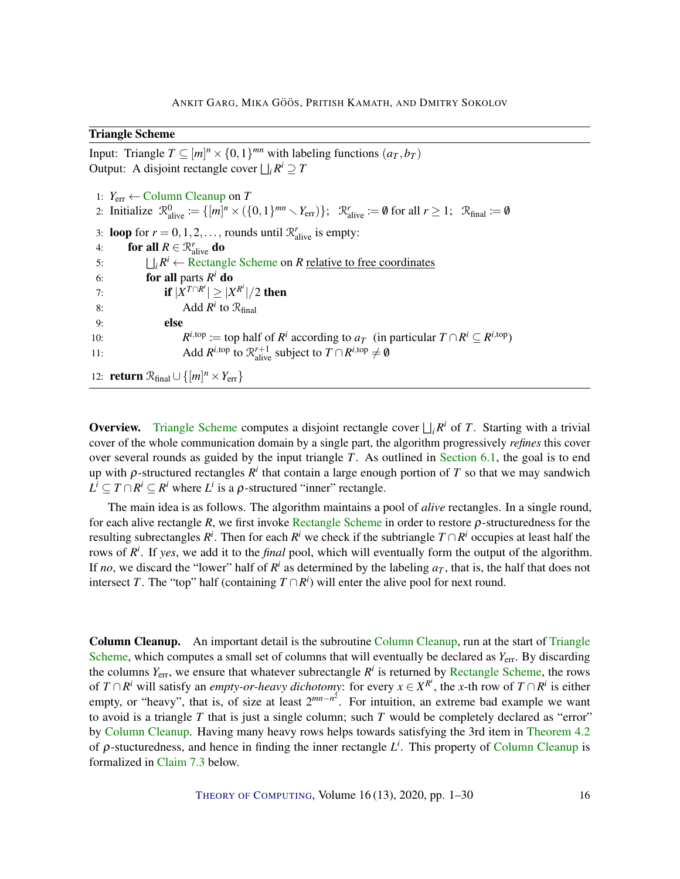## Triangle Scheme

Input: Triangle  $T \subseteq [m]^n \times \{0,1\}^{mn}$  with labeling functions  $(a_T, b_T)$ Output: A disjoint rectangle cover  $\bigsqcup_i R^i \supseteq T$ 1: *Y*err ← [Column Cleanup](#page-0-0) on *T* 2: Initialize  $\mathcal{R}^0_{\text{alive}} := \{ [m]^n \times (\{0,1\}^{mn} \setminus Y_{\text{err}}) \}; \quad \mathcal{R}^r_{\text{alive}} := \emptyset \text{ for all } r \ge 1; \quad \mathcal{R}_{\text{final}} := \emptyset$ 3: **loop** for  $r = 0, 1, 2, \ldots$ , rounds until  $\mathcal{R}_{\text{alive}}^r$  is empty: 4: **for all**  $R \in \mathcal{R}^r_{\text{alive}}$  **do** 5:  $\iint_R R^i \leftarrow \text{Rectangle Scheme on } R \text{ relative to free coordinates}$  $\iint_R R^i \leftarrow \text{Rectangle Scheme on } R \text{ relative to free coordinates}$  $\iint_R R^i \leftarrow \text{Rectangle Scheme on } R \text{ relative to free coordinates}$ 6: **for all** parts  $R^i$  **do** 7: **if**  $|\tilde{X}^{T \cap R^i}| \ge |X^{R^i}|/2$  then 8: **Add**  $R^i$  to  $\mathcal{R}_{\text{final}}$ 9: else

10: *R i*,top := top half of *R<sup>i</sup>* according to *a*<sup>*T*</sup> (in particular  $T \cap R^i \subseteq R^{i, \text{top}}$ ) 11: Add  $R^{i, \text{top}}$  to  $\mathcal{R}^{r+1}_{\text{alive}}$  subject to  $T \cap R^{i, \text{top}} \neq \emptyset$ 

12: **return**  $\mathcal{R}_{final} \cup \{ [m]^n \times Y_{err} \}$ 

**Overview.** [Triangle Scheme](#page-0-0) computes a disjoint rectangle cover  $\bigcup_i R^i$  of *T*. Starting with a trivial cover of the whole communication domain by a single part, the algorithm progressively *refines* this cover over several rounds as guided by the input triangle *T*. As outlined in [Section 6.1,](#page-12-3) the goal is to end up with  $\rho$ -structured rectangles  $R^i$  that contain a large enough portion of  $T$  so that we may sandwich  $L^i \subseteq T \cap R^i \subseteq R^i$  where  $L^i$  is a  $\rho$ -structured "inner" rectangle.

The main idea is as follows. The algorithm maintains a pool of *alive* rectangles. In a single round, for each alive rectangle *R*, we first invoke [Rectangle Scheme](#page-0-0) in order to restore ρ-structuredness for the resulting subrectangles  $R^i$ . Then for each  $R^i$  we check if the subtriangle  $T \cap R^i$  occupies at least half the rows of  $R^i$ . If *yes*, we add it to the *final* pool, which will eventually form the output of the algorithm. If *no*, we discard the "lower" half of  $R^i$  as determined by the labeling  $a_T$ , that is, the half that does not intersect *T*. The "top" half (containing  $T \cap R^i$ ) will enter the alive pool for next round.

Column Cleanup. An important detail is the subroutine [Column Cleanup,](#page-0-0) run at the start of [Triangle](#page-0-0) [Scheme,](#page-0-0) which computes a small set of columns that will eventually be declared as  $Y_{\text{err}}$ . By discarding the columns *Y*err, we ensure that whatever subrectangle *R i* is returned by [Rectangle Scheme,](#page-0-0) the rows of  $T \cap R^i$  will satisfy an *empty-or-heavy dichotomy*: for every  $x \in X^{R^i}$ , the *x*-th row of  $T \cap R^i$  is either empty, or "heavy", that is, of size at least  $2^{mn-n^2}$ . For intuition, an extreme bad example we want to avoid is a triangle *T* that is just a single column; such *T* would be completely declared as "error" by [Column Cleanup.](#page-0-0) Having many heavy rows helps towards satisfying the 3rd item in [Theorem 4.2](#page-7-3) of ρ-stucturedness, and hence in finding the inner rectangle *L i* . This property of [Column Cleanup](#page-0-0) is formalized in [Claim](#page-16-0) [7.3](#page-16-0) below.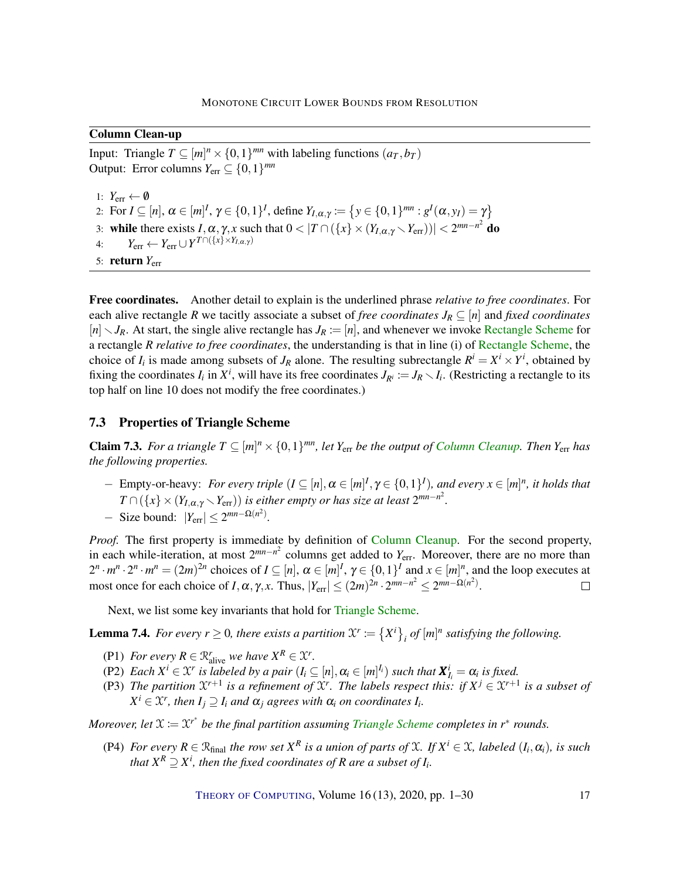## Column Clean-up

Input: Triangle  $T \subseteq [m]^n \times \{0,1\}^{mn}$  with labeling functions  $(a_T, b_T)$ Output: Error columns  $Y_{\text{err}} \subseteq \{0, 1\}^{mn}$ 

1:  $Y_{\text{err}} \leftarrow \emptyset$ 2: For  $I \subseteq [n]$ ,  $\alpha \in [m]^I$ ,  $\gamma \in \{0,1\}^I$ , define  $Y_{I,\alpha,\gamma} := \{y \in \{0,1\}^{mn} : g^I(\alpha, y_I) = \gamma\}$ 3: while there exists  $I, \alpha, \gamma, x$  such that  $0 < |T \cap (\{x\} \times (Y_{I,\alpha,\gamma} \setminus Y_{err}))| < 2^{mn-n^2}$  do 4:  $Y_{\text{err}} \leftarrow Y_{\text{err}} \cup Y^{T} \cap (\{x\} \times Y_{I,\alpha,\gamma})$ 5: **return**  $Y_{\text{err}}$ 

Free coordinates. Another detail to explain is the underlined phrase *relative to free coordinates*. For each alive rectangle *R* we tacitly associate a subset of *free coordinates*  $J_R \subseteq [n]$  and *fixed coordinates*  $[n]$   $\setminus J_R$ . At start, the single alive rectangle has  $J_R := [n]$ , and whenever we invoke [Rectangle Scheme](#page-0-0) for a rectangle *R relative to free coordinates*, the understanding is that in line (i) of [Rectangle Scheme,](#page-0-0) the choice of  $I_i$  is made among subsets of  $J_R$  alone. The resulting subrectangle  $R^i = X^i \times Y^i$ , obtained by fixing the coordinates  $I_i$  in  $X^i$ , will have its free coordinates  $J_{R^i} := J_R \setminus I_i$ . (Restricting a rectangle to its top half on line 10 does not modify the free coordinates.)

## 7.3 Properties of Triangle Scheme

<span id="page-16-0"></span>**Claim 7.3.** For a triangle  $T \subseteq [m]^n \times \{0,1\}^{mn}$ , let  $Y_{\text{err}}$  be the output of [Column Cleanup.](#page-0-0) Then  $Y_{\text{err}}$  has *the following properties.*

 $-$  Empty-or-heavy: *For every triple*  $(I \subseteq [n], \alpha \in [m]^I, \gamma \in \{0,1\}^I)$ , and every  $x \in [m]^n$ , it holds that  $T \cap (\{x\} \times (Y_{I,\alpha,\gamma} \setminus Y_{\text{err}}))$  *is either empty or has size at least*  $2^{mn-n^2}$ *.*  $-$  Size bound:  $|Y_{\text{err}}| \leq 2^{mn-\Omega(n^2)}$ .

*Proof.* The first property is immediate by definition of [Column Cleanup.](#page-0-0) For the second property, in each while-iteration, at most  $2^{mn-n^2}$  columns get added to  $Y_{\text{err}}$ . Moreover, there are no more than  $2^n \cdot m^n \cdot 2^n \cdot m^n = (2m)^{2n}$  choices of  $I \subseteq [n]$ ,  $\alpha \in [m]^I$ ,  $\gamma \in \{0,1\}^I$  and  $x \in [m]^n$ , and the loop executes at most once for each choice of *I*,  $\alpha$ ,  $\gamma$ , *x*. Thus,  $|Y_{err}| \le (2m)^{2n} \cdot 2^{mn-n^2} \le 2^{mn-\Omega(n^2)}$ .  $\Box$ 

Next, we list some key invariants that hold for [Triangle Scheme.](#page-0-0)

<span id="page-16-2"></span>**Lemma 7.4.** For every  $r \ge 0$ , there exists a partition  $\mathcal{X}^r := \{X^i\}_i$  of  $[m]^n$  satisfying the following.

- <span id="page-16-1"></span>(P1) *For every*  $R \in \mathcal{R}_{alive}^r$  *we have*  $X^R \in \mathcal{X}^r$ *.*
- (P2) *Each*  $X^i \in \mathcal{X}^r$  *is labeled by a pair*  $(I_i \subseteq [n], \alpha_i \in [m]^{\mathcal{I}_i}$  *such that*  $\mathbf{X}^i_{I_i} = \alpha_i$  *is fixed.*
- (P3) The partition  $\mathfrak{X}^{r+1}$  is a refinement of  $\mathfrak{X}^r$ . The labels respect this: if  $X^j \in \mathfrak{X}^{r+1}$  is a subset of  $X^i \in \mathcal{X}^r$ , then  $I_j \supseteq I_i$  and  $\alpha_j$  agrees with  $\alpha_i$  on coordinates  $I_i$ .

*Moreover, let*  $\mathfrak{X} := \mathfrak{X}^{r^*}$  be the final partition assuming [Triangle Scheme](#page-0-0) completes in  $r^*$  rounds.

<span id="page-16-3"></span>(P4) *For every*  $R \in \mathbb{R}_{\text{final}}$  *the row set*  $X^R$  *is a union of parts of*  $\mathcal{X}$ *. If*  $X^i \in \mathcal{X}$ *, labeled*  $(I_i, \alpha_i)$ *, is such* that  $X^R \supseteq X^i$ , then the fixed coordinates of  $R$  are a subset of  $I_i$ .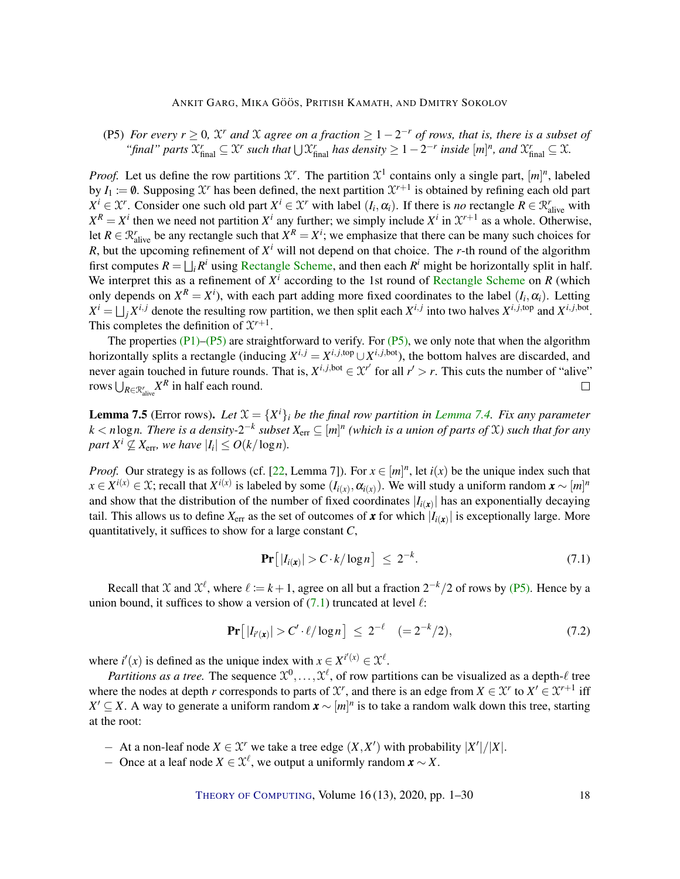<span id="page-17-4"></span><span id="page-17-0"></span>(P5) *For every*  $r \geq 0$ ,  $\mathcal{X}^r$  *and*  $\mathcal{X}$  *agree on a fraction*  $\geq 1 - 2^{-r}$  *of rows, that is, there is a subset of "final" parts*  $\mathfrak{X}_{\text{final}}^r \subseteq \mathfrak{X}^r$  *such that*  $\bigcup \mathfrak{X}_{\text{final}}^r$  *has density*  $\geq 1 - 2^{-r}$  *inside*  $[m]^n$ *, and*  $\mathfrak{X}_{\text{final}}^r \subseteq \mathfrak{X}$ *.* 

*Proof.* Let us define the row partitions  $\mathcal{X}^r$ . The partition  $\mathcal{X}^1$  contains only a single part,  $[m]^n$ , labeled by  $I_1 \coloneqq \emptyset$ . Supposing  $\mathcal{X}^r$  has been defined, the next partition  $\mathcal{X}^{r+1}$  is obtained by refining each old part  $X^i \in \mathcal{X}^r$ . Consider one such old part  $X^i \in \mathcal{X}^r$  with label  $(I_i, \alpha_i)$ . If there is *no* rectangle  $R \in \mathcal{R}^r$  with  $X^R = X^i$  then we need not partition  $X^i$  any further; we simply include  $X^i$  in  $\mathcal{X}^{r+1}$  as a whole. Otherwise, let  $R \in \mathcal{R}_{\text{alive}}^r$  be any rectangle such that  $X^R = X^i$ ; we emphasize that there can be many such choices for *R*, but the upcoming refinement of  $X^i$  will not depend on that choice. The *r*-th round of the algorithm first computes  $R = \bigsqcup_i R^i$  using [Rectangle Scheme,](#page-0-0) and then each  $R^i$  might be horizontally split in half. We interpret this as a refinement of  $X^i$  according to the 1st round of [Rectangle Scheme](#page-0-0) on  $R$  (which only depends on  $X^R = X^i$ ), with each part adding more fixed coordinates to the label  $(I_i, \alpha_i)$ . Letting  $X^i = \bigsqcup_j X^{i,j}$  denote the resulting row partition, we then split each  $X^{i,j}$  into two halves  $X^{i,j,\text{top}}$  and  $X^{i,j,\text{bot}}$ . This completes the definition of  $\mathcal{X}^{r+1}$ .

The properties  $(P1)$ – $(P5)$  are straightforward to verify. For  $(P5)$ , we only note that when the algorithm horizontally splits a rectangle (inducing  $X^{i,j} = X^{i,j,\text{top}} \cup X^{i,j,\text{bot}}$ ), the bottom halves are discarded, and never again touched in future rounds. That is,  $X^{i,j,bot} \in \mathcal{X}^{r'}$  for all  $r' > r$ . This cuts the number of "alive" rows  $\bigcup_{R \in \mathcal{R}_{\text{alive}}^r} X^R$  in half each round.  $\Box$ 

<span id="page-17-3"></span>**[Lemma](#page-16-2) 7.5** (Error rows). Let  $\mathfrak{X} = \{X^i\}_i$  be the final row partition in Lemma [7.4.](#page-16-2) Fix any parameter  $k$  <  $n$  log $n$ . There is a density-2<sup>- $k$ </sup> subset  $X_{\text{err}}$   $\subseteq$   $[m]^n$  (which is a union of parts of  $\mathfrak X)$  such that for any *part*  $X^i \nsubseteq X_{\text{err}}$ *, we have*  $|I_i| \leq O(k/\log n)$ *.* 

*Proof.* Our strategy is as follows (cf. [\[22,](#page-25-7) Lemma 7]). For  $x \in [m]^n$ , let  $i(x)$  be the unique index such that  $x \in X^{i(x)} \in \mathfrak{X}$ ; recall that  $X^{i(x)}$  is labeled by some  $(I_{i(x)}, \alpha_{i(x)})$ . We will study a uniform random  $\boldsymbol{x} \sim [m]^n$ and show that the distribution of the number of fixed coordinates  $|I_{i}(x)|$  has an exponentially decaying tail. This allows us to define  $X_{\text{err}}$  as the set of outcomes of  $x$  for which  $|I_{i(x)}|$  is exceptionally large. More quantitatively, it suffices to show for a large constant *C*,

<span id="page-17-1"></span>
$$
\Pr\left[|I_{i(\mathbf{x})}| > C \cdot k / \log n\right] \leq 2^{-k}.\tag{7.1}
$$

Recall that X and  $\mathfrak{X}^{\ell}$ , where  $\ell := k + 1$ , agree on all but a fraction  $2^{-k}/2$  of rows by [\(P5\).](#page-17-0) Hence by a union bound, it suffices to show a version of  $(7.1)$  truncated at level  $\ell$ :

<span id="page-17-2"></span>
$$
\Pr\left[|I_{i'(x)}| > C' \cdot \ell / \log n\right] \leq 2^{-\ell} \quad (= 2^{-k}/2),\tag{7.2}
$$

where  $i'(x)$  is defined as the unique index with  $x \in X^{i'(x)} \in \mathcal{X}^{\ell}$ .

*Partitions as a tree.* The sequence  $\mathfrak{X}^0, \ldots, \mathfrak{X}^\ell$ , of row partitions can be visualized as a depth- $\ell$  tree where the nodes at depth *r* corresponds to parts of  $\mathcal{X}$ , and there is an edge from  $X \in \mathcal{X}$  to  $X' \in \mathcal{X}^{r+1}$  iff  $X' \subseteq X$ . A way to generate a uniform random  $\mathbf{x} \sim [m]^n$  is to take a random walk down this tree, starting at the root:

− At a non-leaf node  $X \in \mathcal{X}^r$  we take a tree edge  $(X, X')$  with probability  $|X'|/|X|$ .

− Once at a leaf node  $X \in \mathcal{X}^{\ell}$ , we output a uniformly random  $\mathbf{x} \sim X$ .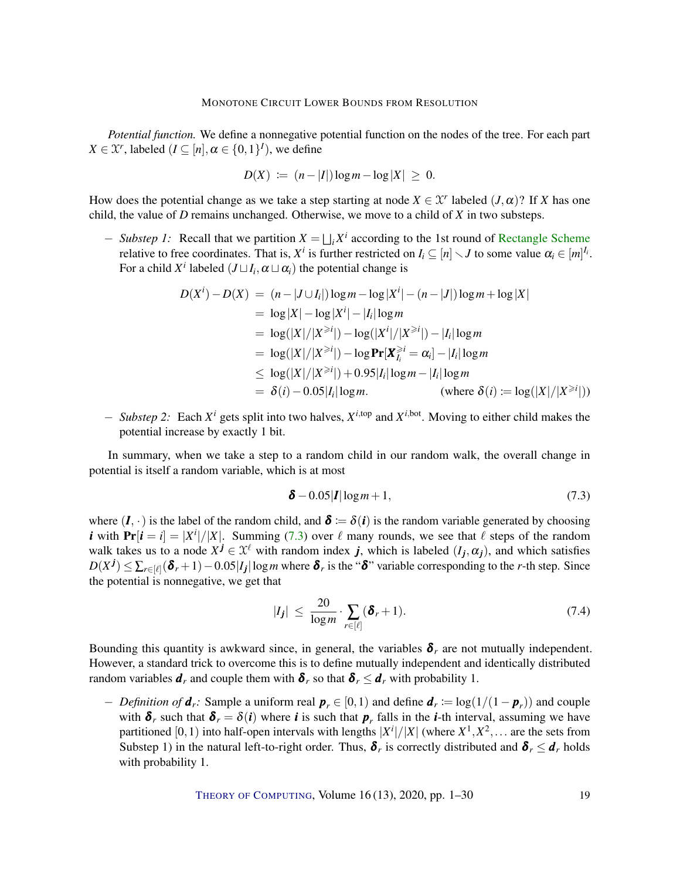*Potential function.* We define a nonnegative potential function on the nodes of the tree. For each part *X*  $\in$  *X<sup>r</sup>*, labeled (*I*  $\subseteq$  [*n*],  $\alpha \in$  {0, 1}<sup>*I*</sup>), we define

$$
D(X) := (n-|I|)\log m - \log |X| \geq 0.
$$

How does the potential change as we take a step starting at node  $X \in \mathcal{X}^r$  labeled  $(J, \alpha)$ ? If *X* has one child, the value of *D* remains unchanged. Otherwise, we move to a child of *X* in two substeps.

− *Substep 1:* Recall that we partition *X* = F *i X i* according to the 1st round of [Rectangle Scheme](#page-0-0) relative to free coordinates. That is,  $X^i$  is further restricted on  $I_i \subseteq [n] \setminus J$  to some value  $\alpha_i \in [m]^{I_i}$ . For a child  $X^i$  labeled  $(J \sqcup I_i, \alpha \sqcup \alpha_i)$  the potential change is

$$
D(X^{i}) - D(X) = (n - |J \cup I_{i}|) \log m - \log |X^{i}| - (n - |J|) \log m + \log |X|
$$
  
=  $\log |X| - \log |X^{i}| - |I_{i}| \log m$   
=  $\log(|X|/|X^{\geq i}|) - \log(|X^{i}|/|X^{\geq i}|) - |I_{i}| \log m$   
=  $\log(|X|/|X^{\geq i}|) - \log Pr[X_{I_{i}}^{\geq i} = \alpha_{i}] - |I_{i}| \log m$   
 $\leq \log(|X|/|X^{\geq i}|) + 0.95|I_{i}| \log m - |I_{i}| \log m$   
=  $\delta(i) - 0.05|I_{i}| \log m$ . (where  $\delta(i) := \log(|X|/|X^{\geq i}|)$ )

− *Substep 2:* Each *X <sup>i</sup>* gets split into two halves, *X <sup>i</sup>*,top and *X <sup>i</sup>*,bot. Moving to either child makes the potential increase by exactly 1 bit.

In summary, when we take a step to a random child in our random walk, the overall change in potential is itself a random variable, which is at most

<span id="page-18-0"></span>
$$
\delta - 0.05|I|\log m + 1,\tag{7.3}
$$

where  $(I, \cdot)$  is the label of the random child, and  $\delta := \delta(i)$  is the random variable generated by choosing *i* with  $Pr[i = i] = |X^i|/|X|$ . Summing [\(7.3\)](#page-18-0) over  $\ell$  many rounds, we see that  $\ell$  steps of the random walk takes us to a node  $X^j \in \mathcal{X}^{\ell}$  with random index *j*, which is labeled  $(I_j, \alpha_j)$ , and which satisfies  $D(X^j) \le \sum_{r \in [\ell]} (\delta_r + 1) - 0.05|I_j| \log m$  where  $\delta_r$  is the " $\delta$ " variable corresponding to the *r*-th step. Since the potential is nonnegative, we get that

<span id="page-18-1"></span>
$$
|I_j| \leq \frac{20}{\log m} \cdot \sum_{r \in [\ell]} (\delta_r + 1). \tag{7.4}
$$

Bounding this quantity is awkward since, in general, the variables  $\delta_r$  are not mutually independent. However, a standard trick to overcome this is to define mutually independent and identically distributed random variables  $d_r$  and couple them with  $\delta_r$  so that  $\delta_r \leq d_r$  with probability 1.

− *Definition of*  $d_r$ : Sample a uniform real  $p_r \in [0,1)$  and define  $d_r := \log(1/(1-p_r))$  and couple with  $\delta_r$  such that  $\delta_r = \delta(i)$  where *i* is such that  $p_r$  falls in the *i*-th interval, assuming we have partitioned [0, 1) into half-open intervals with lengths  $|X^i|/|X|$  (where  $X^1, X^2, \ldots$  are the sets from Substep 1) in the natural left-to-right order. Thus,  $\delta_r$  is correctly distributed and  $\delta_r \leq d_r$  holds with probability 1.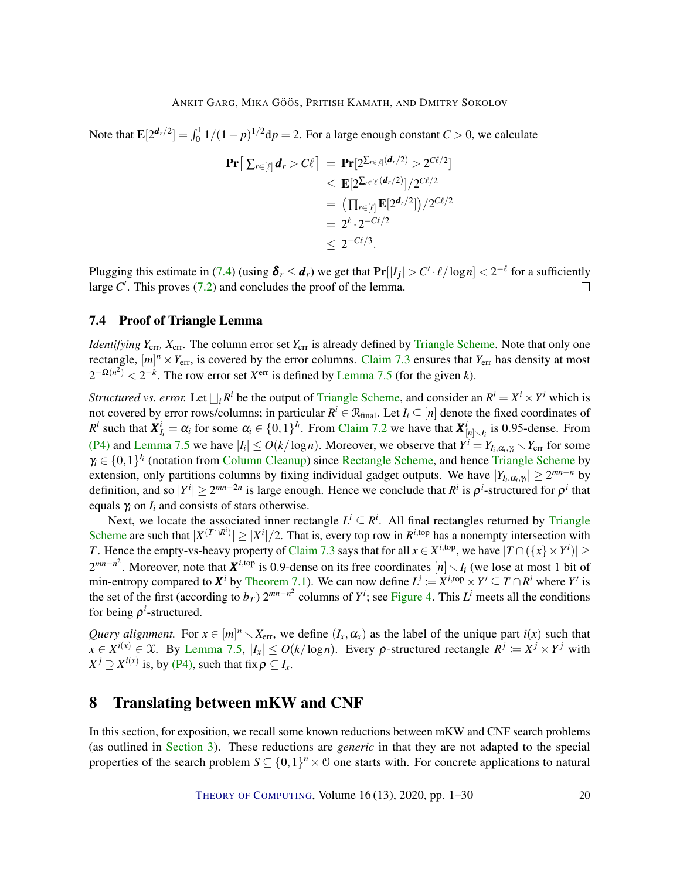Note that  $\mathbf{E}[2^{\mathbf{d}_r/2}] = \int_0^1 1/(1-p)^{1/2} dp = 2$ . For a large enough constant *C* > 0, we calculate

$$
\begin{aligned} \Pr\big[\sum_{r\in[\ell]}d_r > C\ell\big] &= \Pr[2^{\sum_{r\in[\ell]}(d_r/2)} > 2^{C\ell/2}] \\ &\leq \mathbf{E}[2^{\sum_{r\in[\ell]}(d_r/2)}]/2^{C\ell/2} \\ &= \big(\prod_{r\in[\ell]} \mathbf{E}[2^{d_r/2}]\big)/2^{C\ell/2} \\ &= 2^{\ell} \cdot 2^{-C\ell/2} \\ &\leq 2^{-C\ell/3} .\end{aligned}
$$

Plugging this estimate in [\(7.4\)](#page-18-1) (using  $\delta_r \leq d_r$ ) we get that  $Pr[|I_j| > C' \cdot \ell / \log n] < 2^{-\ell}$  for a sufficiently large  $C'$ . This proves  $(7.2)$  and concludes the proof of the lemma.  $\Box$ 

## <span id="page-19-1"></span>7.4 Proof of Triangle Lemma

*Identifying*  $Y_{\text{err}}$ ,  $X_{\text{err}}$ . The column error set  $Y_{\text{err}}$  is already defined by [Triangle Scheme.](#page-0-0) Note that only one rectangle,  $[m]^n \times Y_{\text{err}}$ , is covered by the error columns. [Claim](#page-16-0) [7.3](#page-16-0) ensures that  $Y_{\text{err}}$  has density at most  $2^{-\Omega(n^2)} < 2^{-k}$ . The row error set  $X^{\text{err}}$  is defined by [Lemma](#page-17-3) [7.5](#page-17-3) (for the given *k*).

*Structured vs. error.* Let  $\bigsqcup_i R^i$  be the output of [Triangle Scheme,](#page-0-0) and consider an  $R^i = X^i \times Y^i$  which is not covered by error rows/columns; in particular  $R^i \in \mathcal{R}_{final}$ . Let  $I_i \subseteq [n]$  denote the fixed coordinates of *R*<sup>*i*</sup> such that  $X^i_{I_i} = \alpha_i$  for some  $\alpha_i \in \{0, 1\}^{I_i}$ . From [Claim](#page-14-1) [7.2](#page-14-1) we have that  $X^i_{[n] \setminus I_i}$  is 0.95-dense. From [\(P4\)](#page-16-3) and [Lemma](#page-17-3) [7.5](#page-17-3) we have  $|I_i| \leq O(k/\log n)$ . Moreover, we observe that  $Y^i = Y_{I_i, \alpha_i, \gamma_i} \setminus Y_{err}$  for some  $\gamma_i \in \{0,1\}^{I_i}$  (notation from [Column Cleanup\)](#page-0-0) since [Rectangle Scheme,](#page-0-0) and hence [Triangle Scheme](#page-0-0) by extension, only partitions columns by fixing individual gadget outputs. We have  $|Y_{I_i,\alpha_i,\gamma_i}| \ge 2^{mn-n}$  by definition, and so  $|Y^i| \ge 2^{mn-2n}$  is large enough. Hence we conclude that  $R^i$  is  $\rho^i$ -structured for  $\rho^i$  that equals  $\gamma$ *i* on  $I$ <sup>*i*</sup> and consists of stars otherwise.

Next, we locate the associated inner rectangle  $L^i \subseteq R^i$ . All final rectangles returned by [Triangle](#page-0-0) [Scheme](#page-0-0) are such that  $|X^{(T \cap R^i)}| \ge |X^i|/2$ . That is, every top row in  $R^{i, \text{top}}$  has a nonempty intersection with *T*. Hence the empty-vs-heavy property of [Claim](#page-16-0) [7.3](#page-16-0) says that for all  $x \in X^{i, \text{top}}$ , we have  $|T \cap (\{x\} \times Y^i)| \ge$  $2^{mn-n^2}$ . Moreover, note that  $X^{i,\text{top}}$  is 0.9-dense on its free coordinates  $[n] \setminus I_i$  (we lose at most 1 bit of min-entropy compared to  $X^i$  by [Theorem 7.1\)](#page-13-1). We can now define  $L^i := X^{i, \text{top}} \times Y' \subseteq T \cap R^i$  where  $Y'$  is the set of the first (according to  $b_T$ )  $2^{mn-n^2}$  columns of  $Y^i$ ; see [Figure 4.](#page-12-1) This  $L^i$  meets all the conditions for being  $\rho^i$ -structured.

*Query alignment.* For  $x \in [m]^n \setminus X_{\text{err}}$ , we define  $(I_x, \alpha_x)$  as the label of the unique part  $i(x)$  such that  $x \in X^{i(x)} \in \mathcal{X}$ . By [Lemma](#page-17-3) [7.5,](#page-17-3)  $|I_x| \le O(k/\log n)$ . Every  $\rho$ -structured rectangle  $R^j := X^j \times Y^j$  with  $X^j \supseteq X^{i(x)}$  is, by [\(P4\),](#page-16-3) such that fix  $\rho \subseteq I_x$ .

# <span id="page-19-0"></span>8 Translating between mKW and CNF

In this section, for exposition, we recall some known reductions between mKW and CNF search problems (as outlined in [Section 3\)](#page-4-0). These reductions are *generic* in that they are not adapted to the special properties of the search problem  $S \subseteq \{0,1\}^n \times \mathcal{O}$  one starts with. For concrete applications to natural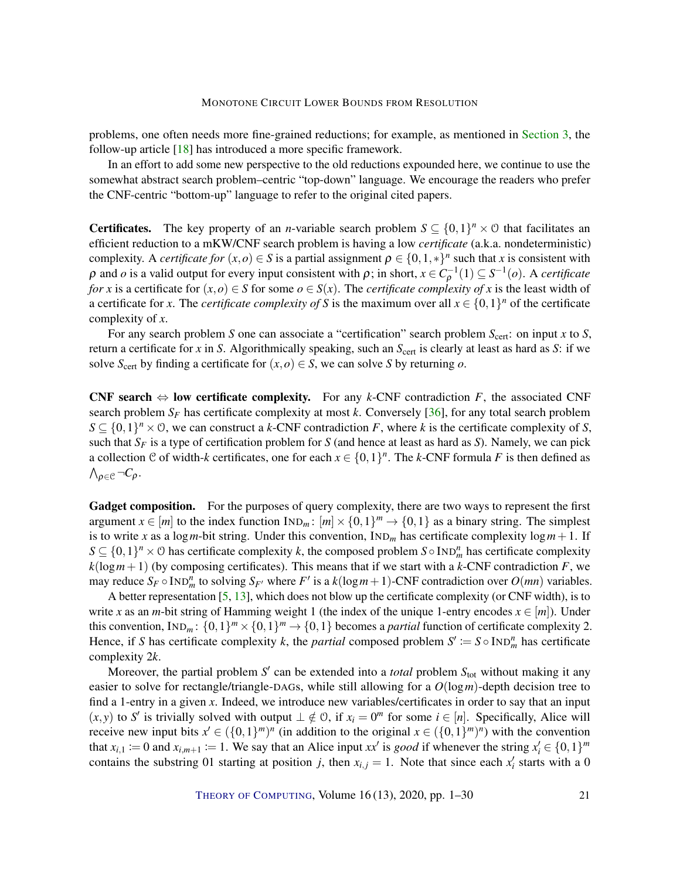<span id="page-20-0"></span>problems, one often needs more fine-grained reductions; for example, as mentioned in [Section 3,](#page-4-0) the follow-up article [\[18\]](#page-24-4) has introduced a more specific framework.

In an effort to add some new perspective to the old reductions expounded here, we continue to use the somewhat abstract search problem–centric "top-down" language. We encourage the readers who prefer the CNF-centric "bottom-up" language to refer to the original cited papers.

**Certificates.** The key property of an *n*-variable search problem  $S \subseteq \{0,1\}^n \times \mathcal{O}$  that facilitates an efficient reduction to a mKW/CNF search problem is having a low *certificate* (a.k.a. nondeterministic) complexity. A *certificate for*  $(x, o) \in S$  is a partial assignment  $\rho \in \{0, 1, *\}^n$  such that *x* is consistent with  $ρ$  and *ο* is a valid output for every input consistent with  $ρ$ ; in short,  $x ∈ C<sub>ρ</sub><sup>-1</sup>(1) ⊆ S<sup>-1</sup>(o)$ . A *certificate for x* is a certificate for  $(x, o) \in S$  for some  $o \in S(x)$ . The *certificate complexity of x* is the least width of a certificate for *x*. The *certificate complexity of S* is the maximum over all  $x \in \{0,1\}^n$  of the certificate complexity of *x*.

For any search problem *S* one can associate a "certification" search problem *S*cert: on input *x* to *S*, return a certificate for *x* in *S*. Algorithmically speaking, such an *S*<sub>cert</sub> is clearly at least as hard as *S*: if we solve  $S_{\text{cert}}$  by finding a certificate for  $(x, o) \in S$ , we can solve *S* by returning *o*.

**CNF search**  $\Leftrightarrow$  **low certificate complexity.** For any *k*-CNF contradiction *F*, the associated CNF search problem  $S_F$  has certificate complexity at most k. Conversely [\[36\]](#page-26-11), for any total search problem  $S \subseteq \{0,1\}^n \times \mathcal{O}$ , we can construct a *k*-CNF contradiction *F*, where *k* is the certificate complexity of *S*, such that *S<sup>F</sup>* is a type of certification problem for *S* (and hence at least as hard as *S*). Namely, we can pick a collection C of width-*k* certificates, one for each  $x \in \{0,1\}^n$ . The *k*-CNF formula *F* is then defined as  $\wedge_{\rho \in \mathfrak{C}} \neg C_{\rho}$ .

Gadget composition. For the purposes of query complexity, there are two ways to represent the first argument  $x \in [m]$  to the index function  $\text{IND}_m: [m] \times \{0,1\}^m \to \{0,1\}$  as a binary string. The simplest is to write *x* as a log *m*-bit string. Under this convention,  $IND<sub>m</sub>$  has certificate complexity  $log m + 1$ . If  $S \subseteq \{0,1\}^n \times \emptyset$  has certificate complexity *k*, the composed problem  $S \circ \text{IND}_m^n$  has certificate complexity  $k(\log m + 1)$  (by composing certificates). This means that if we start with a *k*-CNF contradiction *F*, we may reduce  $S_F \circ \text{IND}_m^n$  to solving  $S_{F'}$  where  $F'$  is a  $k(\log m + 1)$ -CNF contradiction over  $O(mn)$  variables.

A better representation [\[5,](#page-23-0) [13\]](#page-24-2), which does not blow up the certificate complexity (or CNF width), is to write *x* as an *m*-bit string of Hamming weight 1 (the index of the unique 1-entry encodes  $x \in [m]$ ). Under this convention,  $\text{IND}_m: \{0,1\}^m \times \{0,1\}^m \rightarrow \{0,1\}$  becomes a *partial* function of certificate complexity 2. Hence, if *S* has certificate complexity *k*, the *partial* composed problem  $S' := S \circ \text{IND}_{m}^{n}$  has certificate complexity 2*k*.

Moreover, the partial problem *S'* can be extended into a *total* problem  $S_{\text{tot}}$  without making it any easier to solve for rectangle/triangle-DAGs, while still allowing for a *O*(log*m*)-depth decision tree to find a 1-entry in a given *x*. Indeed, we introduce new variables/certificates in order to say that an input  $(x, y)$  to *S'* is trivially solved with output  $\perp \notin \mathcal{O}$ , if  $x_i = 0^m$  for some  $i \in [n]$ . Specifically, Alice will receive new input bits  $x' \in (\{0,1\}^m)^n$  (in addition to the original  $x \in (\{0,1\}^m)^n$ ) with the convention that  $x_{i,1} := 0$  and  $x_{i,m+1} := 1$ . We say that an Alice input  $xx'$  is *good* if whenever the string  $x_i' \in \{0,1\}^m$ contains the substring 01 starting at position *j*, then  $x_{i,j} = 1$ . Note that since each  $x_i'$  starts with a 0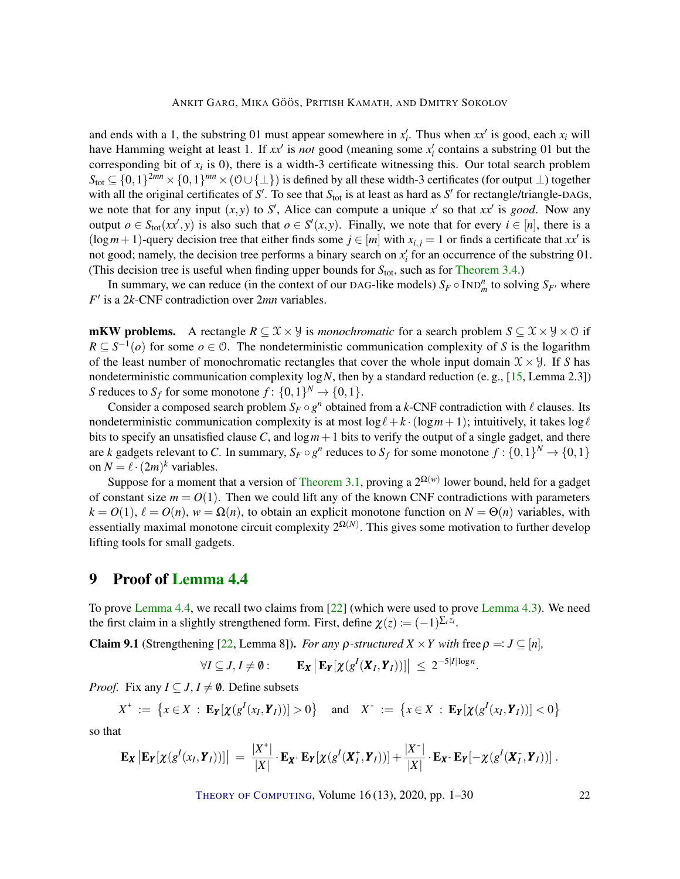<span id="page-21-2"></span>and ends with a 1, the substring 01 must appear somewhere in  $x_i'$ . Thus when  $xx'$  is good, each  $x_i$  will have Hamming weight at least 1. If  $xx'$  is *not* good (meaning some  $x'_i$  contains a substring 01 but the corresponding bit of *x<sup>i</sup>* is 0), there is a width-3 certificate witnessing this. Our total search problem  $S_{\text{tot}} \subseteq \{0,1\}^{2mn} \times \{0,1\}^{mn} \times (\mathcal{O} \cup \{\perp\})$  is defined by all these width-3 certificates (for output ⊥) together with all the original certificates of  $S'$ . To see that  $S_{\text{tot}}$  is at least as hard as  $S'$  for rectangle/triangle-DAGs, we note that for any input  $(x, y)$  to *S'*, Alice can compute a unique x' so that  $xx'$  is good. Now any output  $o \in S_{tot}(xx',y)$  is also such that  $o \in S'(x,y)$ . Finally, we note that for every  $i \in [n]$ , there is a  $(\log m + 1)$ -query decision tree that either finds some  $j \in [m]$  with  $x_{i,j} = 1$  or finds a certificate that  $xx'$  is not good; namely, the decision tree performs a binary search on  $x_i'$  for an occurrence of the substring 01. (This decision tree is useful when finding upper bounds for  $S_{\text{tot}}$ , such as for [Theorem 3.4.](#page-6-1))

In summary, we can reduce (in the context of our DAG-like models)  $S_F \circ \text{IND}_m^n$  to solving  $S_{F'}$  where  $F'$  is a 2*k*-CNF contradiction over 2*mn* variables.

**mKW problems.** A rectangle  $R \subseteq \mathcal{X} \times \mathcal{Y}$  is *monochromatic* for a search problem  $S \subseteq \mathcal{X} \times \mathcal{Y} \times \mathcal{O}$  if  $R \subseteq S^{-1}(o)$  for some  $o \in \mathcal{O}$ . The nondeterministic communication complexity of *S* is the logarithm of the least number of monochromatic rectangles that cover the whole input domain  $\mathcal{X} \times \mathcal{Y}$ . If *S* has nondeterministic communication complexity  $log N$ , then by a standard reduction (e. g., [\[15,](#page-24-11) Lemma 2.3]) *S* reduces to  $S_f$  for some monotone  $f: \{0,1\}^N \to \{0,1\}.$ 

Consider a composed search problem  $S_F \circ g^n$  obtained from a *k*-CNF contradiction with  $\ell$  clauses. Its nondeterministic communication complexity is at most  $\log \ell + k \cdot (\log m + 1)$ ; intuitively, it takes  $\log \ell$ bits to specify an unsatisfied clause C, and  $\log m + 1$  bits to verify the output of a single gadget, and there are *k* gadgets relevant to C. In summary,  $S_F \circ g^n$  reduces to  $S_f$  for some monotone  $f: \{0,1\}^N \to \{0,1\}$ on  $N = \ell \cdot (2m)^k$  variables.

Suppose for a moment that a version of [Theorem 3.1,](#page-4-1) proving a  $2^{\Omega(w)}$  lower bound, held for a gadget of constant size  $m = O(1)$ . Then we could lift any of the known CNF contradictions with parameters  $k = O(1)$ ,  $\ell = O(n)$ ,  $w = \Omega(n)$ , to obtain an explicit monotone function on  $N = \Theta(n)$  variables, with essentially maximal monotone circuit complexity  $2^{\Omega(N)}$ . This gives some motivation to further develop lifting tools for small gadgets.

# <span id="page-21-0"></span>9 Proof of [Lemma](#page-7-2) [4.4](#page-7-2)

To prove [Lemma](#page-7-2) [4.4,](#page-7-2) we recall two claims from [\[22\]](#page-25-7) (which were used to prove [Lemma](#page-7-1) [4.3\)](#page-7-1). We need the first claim in a slightly strengthened form. First, define  $\chi(z) \coloneqq (-1)^{\sum_i z_i}$ .

<span id="page-21-1"></span>**Claim 9.1** (Strengthening [\[22,](#page-25-7) Lemma 8]). *For any*  $\rho$ -structured  $X \times Y$  with free  $\rho =: J \subseteq [n]$ ,

$$
\forall I \subseteq J, I \neq \emptyset: \qquad \mathbf{E}_{\mathbf{X}}\left|\mathbf{E}_{\mathbf{Y}}[\chi(g^{I}(\mathbf{X}_{I}, \mathbf{Y}_{I}))]\right| \leq 2^{-5|I|\log n}.
$$

*Proof.* Fix any  $I \subseteq J$ ,  $I \neq \emptyset$ . Define subsets

$$
X^+ := \{x \in X : \mathbf{E}_{\mathbf{Y}}[\chi(g^I(x_I, \mathbf{Y}_I))] > 0\} \text{ and } X^- := \{x \in X : \mathbf{E}_{\mathbf{Y}}[\chi(g^I(x_I, \mathbf{Y}_I))] < 0\}
$$

so that

$$
\mathbf{E}_{\boldsymbol{X}}\left|\mathbf{E}_{\boldsymbol{Y}}[\boldsymbol{\chi}(g^I(x_I,\boldsymbol{Y}_I))] \right| = \frac{|X^*|}{|X|} \cdot \mathbf{E}_{\boldsymbol{X}^*}\mathbf{E}_{\boldsymbol{Y}}[\boldsymbol{\chi}(g^I(\boldsymbol{X}_I^*,\boldsymbol{Y}_I))] + \frac{|X^-|}{|X|} \cdot \mathbf{E}_{\boldsymbol{X}^*}\mathbf{E}_{\boldsymbol{Y}}[-\boldsymbol{\chi}(g^I(\boldsymbol{X}_I^*,\boldsymbol{Y}_I))] \ .
$$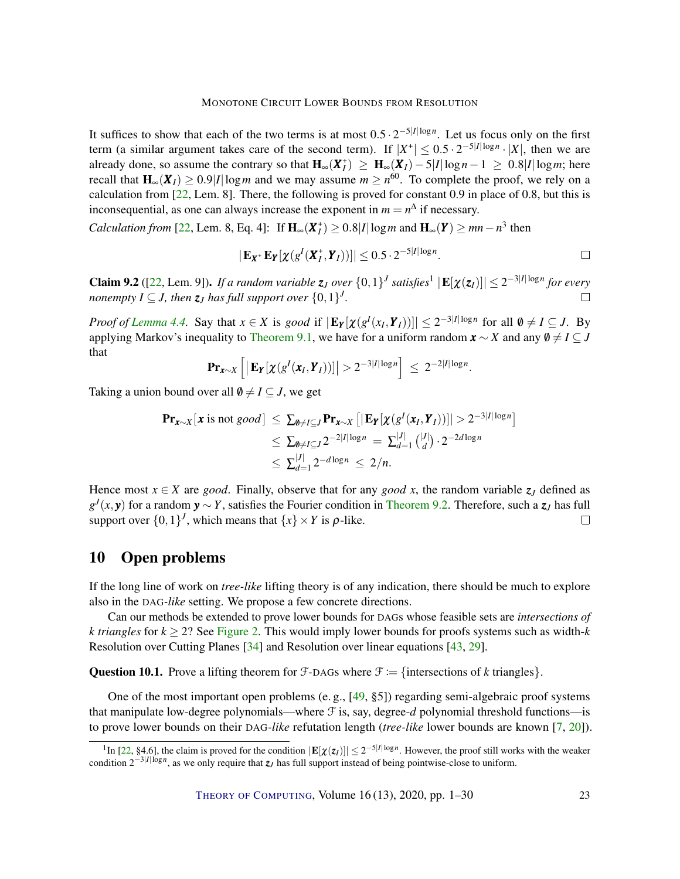<span id="page-22-2"></span>It suffices to show that each of the two terms is at most  $0.5 \cdot 2^{-5|I|\log n}$ . Let us focus only on the first term (a similar argument takes care of the second term). If  $|X^*| \le 0.5 \cdot 2^{-5|I|\log n} \cdot |X|$ , then we are already done, so assume the contrary so that  $H_{\infty}(X_I^+) \geq H_{\infty}(X_I) - 5|I| \log n - 1 \geq 0.8|I| \log m$ ; here recall that  $H_{\infty}(X_I) \ge 0.9|I| \log m$  and we may assume  $m \ge n^{60}$ . To complete the proof, we rely on a calculation from [\[22,](#page-25-7) Lem. 8]. There, the following is proved for constant 0.9 in place of 0.8, but this is inconsequential, as one can always increase the exponent in  $m = n^{\Delta}$  if necessary.

*Calculation from* [\[22,](#page-25-7) Lem. 8, Eq. 4]: If  $H_{\infty}(X_I^+) \ge 0.8|I| \log m$  and  $H_{\infty}(Y) \ge mn - n^3$  then

$$
|\mathbf{E}_{\mathbf{X}^+}\mathbf{E}_{\mathbf{Y}}[\chi(g^I(\mathbf{X}_I^+,\mathbf{Y}_I))]|\leq 0.5\cdot 2^{-5|I|\log n}.\square
$$

<span id="page-22-1"></span>**Claim 9.2** ([\[22,](#page-25-7) Lem. 9]). If a random variable  $z_J$  over  $\{0,1\}^J$  satisfies<sup>1</sup>  $|\mathbf{E}[\chi(z_J)]| \leq 2^{-3|I|\log n}$  for every *nonempty*  $I \subseteq J$ , then  $z_J$  has full support over  $\{0,1\}^J$ . П

*Proof of [Lemma](#page-7-2) [4.4.](#page-7-2)* Say that  $x \in X$  is good if  $|\mathbf{E}_{Y}[\chi(g^{I}(x_I, Y_I))]|\leq 2^{-3|I|\log n}$  for all  $\emptyset \neq I \subseteq J$ . By applying Markov's inequality to [Theorem 9.1,](#page-21-1) we have for a uniform random  $\mathbf{x} \sim X$  and any  $\emptyset \neq I \subseteq J$ that

$$
\mathbf{Pr}_{\mathbf{x}\sim X}\left[\left|\mathbf{E}_{\mathbf{Y}}[\chi(g^{I}(\mathbf{x}_{I},\mathbf{Y}_{I}))]\right|>2^{-3|I|\log n}\right] \leq 2^{-2|I|\log n}.
$$

Taking a union bound over all  $\emptyset \neq I \subseteq J$ , we get

$$
\begin{aligned} \mathbf{Pr}_{\mathbf{x}\sim X}[\mathbf{x} \text{ is not } good] &\leq \sum_{\emptyset \neq I \subseteq J} \mathbf{Pr}_{\mathbf{x}\sim X} \left[ |\mathbf{E}_{\mathbf{Y}}[\chi(g^{I}(\mathbf{x}_{I}, \mathbf{Y}_{I}))]| > 2^{-3|I|\log n} \right] \\ &\leq \sum_{\emptyset \neq I \subseteq J} 2^{-2|I|\log n} = \sum_{d=1}^{|J|} \binom{|J|}{d} \cdot 2^{-2d \log n} \\ &\leq \sum_{d=1}^{|J|} 2^{-d \log n} \leq 2/n. \end{aligned}
$$

Hence most  $x \in X$  are *good*. Finally, observe that for any *good* x, the random variable  $z_j$  defined as *g J* (*x*, *y*) for a random *y* ∼ *Y*, satisfies the Fourier condition in [Theorem 9.2.](#page-22-1) Therefore, such a *z<sup>J</sup>* has full support over  $\{0,1\}^J$ , which means that  $\{x\} \times Y$  is  $\rho$ -like.  $\Box$ 

# <span id="page-22-0"></span>10 Open problems

If the long line of work on *tree-like* lifting theory is of any indication, there should be much to explore also in the DAG*-like* setting. We propose a few concrete directions.

Can our methods be extended to prove lower bounds for DAGs whose feasible sets are *intersections of k triangles* for  $k \geq 2$ ? See [Figure 2.](#page-5-0) This would imply lower bounds for proofs systems such as width- $k$ Resolution over Cutting Planes [\[34\]](#page-26-12) and Resolution over linear equations [\[43,](#page-26-13) [29\]](#page-25-13).

**Question 10.1.** Prove a lifting theorem for  $\mathcal{F}$ -DAGs where  $\mathcal{F} := \{\text{intersections of } k \text{ triangles}\}.$ 

One of the most important open problems (e. g., [\[49,](#page-27-9) §5]) regarding semi-algebraic proof systems that manipulate low-degree polynomials—where  $\mathcal F$  is, say, degree- $d$  polynomial threshold functions—is to prove lower bounds on their DAG*-like* refutation length (*tree-like* lower bounds are known [\[7,](#page-24-12) [20\]](#page-25-3)).

<sup>&</sup>lt;sup>1</sup>In [\[22,](#page-25-7) §4.6], the claim is proved for the condition  $|\mathbf{E}[\chi(z_I)]| \leq 2^{-5|I|\log n}$ . However, the proof still works with the weaker condition 2−3|*I*|log*<sup>n</sup>* , as we only require that *zJ* has full support instead of being pointwise-close to uniform.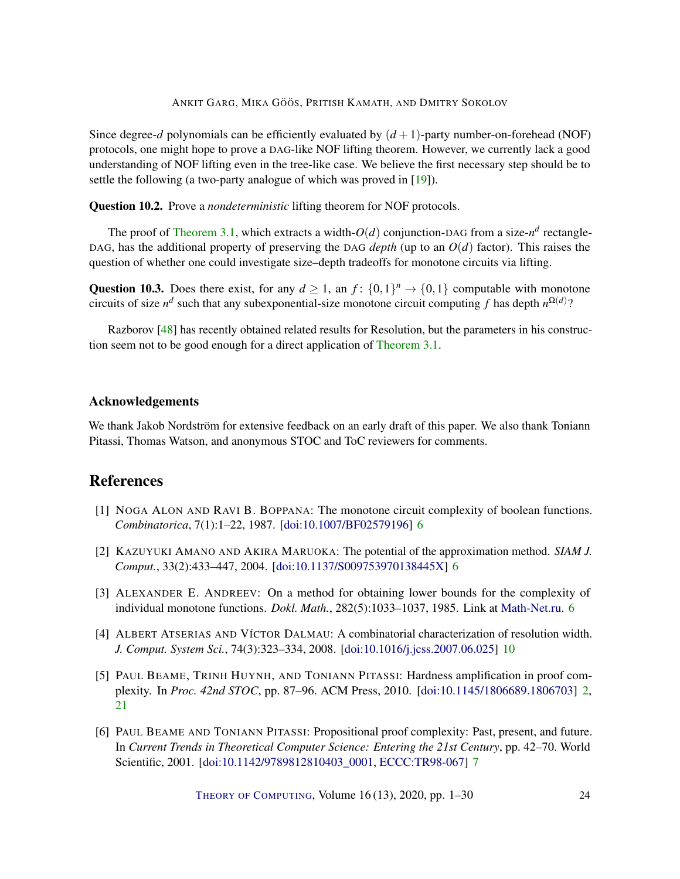<span id="page-23-6"></span>Since degree-*d* polynomials can be efficiently evaluated by  $(d+1)$ -party number-on-forehead (NOF) protocols, one might hope to prove a DAG-like NOF lifting theorem. However, we currently lack a good understanding of NOF lifting even in the tree-like case. We believe the first necessary step should be to settle the following (a two-party analogue of which was proved in [\[19\]](#page-24-6)).

Question 10.2. Prove a *nondeterministic* lifting theorem for NOF protocols.

The proof of [Theorem 3.1,](#page-4-1) which extracts a width- $O(d)$  conjunction-DAG from a size- $n^d$  rectangle-DAG, has the additional property of preserving the DAG *depth* (up to an  $O(d)$  factor). This raises the question of whether one could investigate size–depth tradeoffs for monotone circuits via lifting.

Question 10.3. Does there exist, for any  $d \ge 1$ , an  $f: \{0,1\}^n \to \{0,1\}$  computable with monotone circuits of size  $n^d$  such that any subexponential-size monotone circuit computing f has depth  $n^{\Omega(d)}$ ?

Razborov [\[48\]](#page-26-14) has recently obtained related results for Resolution, but the parameters in his construction seem not to be good enough for a direct application of [Theorem 3.1.](#page-4-1)

# Acknowledgements

We thank Jakob Nordström for extensive feedback on an early draft of this paper. We also thank Toniann Pitassi, Thomas Watson, and anonymous STOC and ToC reviewers for comments.

# References

- <span id="page-23-2"></span>[1] NOGA ALON AND RAVI B. BOPPANA: The monotone circuit complexity of boolean functions. *Combinatorica*, 7(1):1–22, 1987. [\[doi:10.1007/BF02579196\]](http://dx.doi.org/10.1007/BF02579196) [6](#page-5-1)
- <span id="page-23-3"></span>[2] KAZUYUKI AMANO AND AKIRA MARUOKA: The potential of the approximation method. *SIAM J. Comput.*, 33(2):433–447, 2004. [\[doi:10.1137/S009753970138445X\]](http://dx.doi.org/10.1137/S009753970138445X) [6](#page-5-1)
- <span id="page-23-1"></span>[3] ALEXANDER E. ANDREEV: On a method for obtaining lower bounds for the complexity of individual monotone functions. *Dokl. Math.*, 282(5):1033–1037, 1985. Link at [Math-Net.ru.](http://www.mathnet.ru/php/archive.phtml?wshow=paper&jrnid=dan&paperid=9107&option_lang=eng) [6](#page-5-1)
- <span id="page-23-5"></span>[4] ALBERT ATSERIAS AND VÍCTOR DALMAU: A combinatorial characterization of resolution width. *J. Comput. System Sci.*, 74(3):323–334, 2008. [\[doi:10.1016/j.jcss.2007.06.025\]](http://dx.doi.org/10.1016/j.jcss.2007.06.025) [10](#page-9-2)
- <span id="page-23-0"></span>[5] PAUL BEAME, TRINH HUYNH, AND TONIANN PITASSI: Hardness amplification in proof complexity. In *Proc. 42nd STOC*, pp. 87–96. ACM Press, 2010. [\[doi:10.1145/1806689.1806703\]](http://dx.doi.org/10.1145/1806689.1806703) [2,](#page-1-1) [21](#page-20-0)
- <span id="page-23-4"></span>[6] PAUL BEAME AND TONIANN PITASSI: Propositional proof complexity: Past, present, and future. In *Current Trends in Theoretical Computer Science: Entering the 21st Century*, pp. 42–70. World Scientific, 2001. [\[doi:10.1142/9789812810403\\_0001,](http://dx.doi.org/10.1142/9789812810403_0001) [ECCC:TR98-067\]](https://eccc.weizmann.ac.il/report/1998/067) [7](#page-6-2)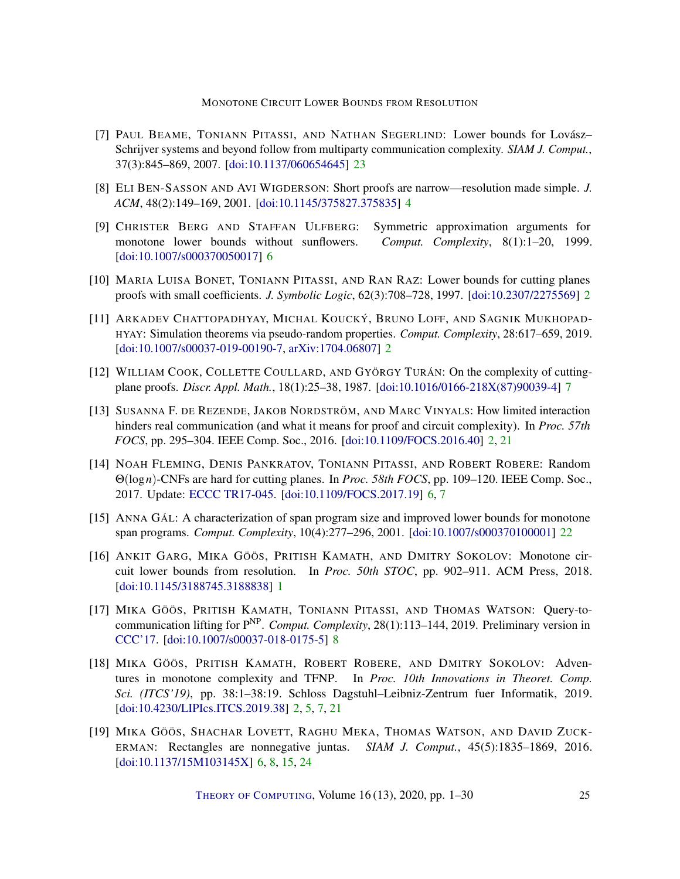- <span id="page-24-12"></span>[7] PAUL BEAME, TONIANN PITASSI, AND NATHAN SEGERLIND: Lower bounds for Lovász– Schrijver systems and beyond follow from multiparty communication complexity. *SIAM J. Comput.*, 37(3):845–869, 2007. [\[doi:10.1137/060654645\]](http://dx.doi.org/10.1137/060654645) [23](#page-22-2)
- <span id="page-24-5"></span>[8] ELI BEN-SASSON AND AVI WIGDERSON: Short proofs are narrow—resolution made simple. *J. ACM*, 48(2):149–169, 2001. [\[doi:10.1145/375827.375835\]](http://dx.doi.org/10.1145/375827.375835) [4](#page-3-2)
- <span id="page-24-7"></span>[9] CHRISTER BERG AND STAFFAN ULFBERG: Symmetric approximation arguments for monotone lower bounds without sunflowers. *Comput. Complexity*, 8(1):1–20, 1999. [\[doi:10.1007/s000370050017\]](http://dx.doi.org/10.1007/s000370050017) [6](#page-5-1)
- <span id="page-24-1"></span>[10] MARIA LUISA BONET, TONIANN PITASSI, AND RAN RAZ: Lower bounds for cutting planes proofs with small coefficients. *J. Symbolic Logic*, 62(3):708–728, 1997. [\[doi:10.2307/2275569\]](http://dx.doi.org/10.2307/2275569) [2](#page-1-1)
- <span id="page-24-3"></span>[11] ARKADEV CHATTOPADHYAY, MICHAL KOUCKÝ, BRUNO LOFF, AND SAGNIK MUKHOPAD-HYAY: Simulation theorems via pseudo-random properties. *Comput. Complexity*, 28:617–659, 2019. [\[doi:10.1007/s00037-019-00190-7,](http://dx.doi.org/10.1007/s00037-019-00190-7) [arXiv:1704.06807\]](http://arxiv.org/abs/1704.06807) [2](#page-1-1)
- <span id="page-24-9"></span>[12] WILLIAM COOK, COLLETTE COULLARD, AND GYÖRGY TURÁN: On the complexity of cuttingplane proofs. *Discr. Appl. Math.*, 18(1):25–38, 1987. [\[doi:10.1016/0166-218X\(87\)90039-4\]](http://dx.doi.org/10.1016/0166-218X(87)90039-4) [7](#page-6-2)
- <span id="page-24-2"></span>[13] SUSANNA F. DE REZENDE, JAKOB NORDSTRÖM, AND MARC VINYALS: How limited interaction hinders real communication (and what it means for proof and circuit complexity). In *Proc. 57th FOCS*, pp. 295–304. IEEE Comp. Soc., 2016. [\[doi:10.1109/FOCS.2016.40\]](http://dx.doi.org/10.1109/FOCS.2016.40) [2,](#page-1-1) [21](#page-20-0)
- <span id="page-24-8"></span>[14] NOAH FLEMING, DENIS PANKRATOV, TONIANN PITASSI, AND ROBERT ROBERE: Random Θ(log*n*)-CNFs are hard for cutting planes. In *Proc. 58th FOCS*, pp. 109–120. IEEE Comp. Soc., 2017. Update: [ECCC TR17-045.](https://eccc.weizmann.ac.il/report/2017/045/) [\[doi:10.1109/FOCS.2017.19\]](http://dx.doi.org/10.1109/FOCS.2017.19) [6,](#page-5-1) [7](#page-6-2)
- <span id="page-24-11"></span>[15] ANNA GÁL: A characterization of span program size and improved lower bounds for monotone span programs. *Comput. Complexity*, 10(4):277–296, 2001. [\[doi:10.1007/s000370100001\]](http://dx.doi.org/10.1007/s000370100001) [22](#page-21-2)
- <span id="page-24-0"></span>[16] ANKIT GARG, MIKA GÖÖS, PRITISH KAMATH, AND DMITRY SOKOLOV: Monotone circuit lower bounds from resolution. In *Proc. 50th STOC*, pp. 902–911. ACM Press, 2018. [\[doi:10.1145/3188745.3188838\]](http://dx.doi.org/10.1145/3188745.3188838) [1](#page-0-1)
- <span id="page-24-10"></span>[17] MIKA GÖÖS, PRITISH KAMATH, TONIANN PITASSI, AND THOMAS WATSON: Query-tocommunication lifting for P NP . *Comput. Complexity*, 28(1):113–144, 2019. Preliminary version in [CCC'17.](https://doi.org/10.4230/LIPIcs.CCC.2017.12) [\[doi:10.1007/s00037-018-0175-5\]](http://dx.doi.org/10.1007/s00037-018-0175-5) [8](#page-7-4)
- <span id="page-24-4"></span>[18] MIKA GÖÖS, PRITISH KAMATH, ROBERT ROBERE, AND DMITRY SOKOLOV: Adventures in monotone complexity and TFNP. In *Proc. 10th Innovations in Theoret. Comp. Sci. (ITCS'19)*, pp. 38:1–38:19. Schloss Dagstuhl–Leibniz-Zentrum fuer Informatik, 2019. [\[doi:10.4230/LIPIcs.ITCS.2019.38\]](http://dx.doi.org/10.4230/LIPIcs.ITCS.2019.38) [2,](#page-1-1) [5,](#page-4-2) [7,](#page-6-2) [21](#page-20-0)
- <span id="page-24-6"></span>[19] MIKA GÖÖS, SHACHAR LOVETT, RAGHU MEKA, THOMAS WATSON, AND DAVID ZUCK-ERMAN: Rectangles are nonnegative juntas. *SIAM J. Comput.*, 45(5):1835–1869, 2016. [\[doi:10.1137/15M103145X\]](http://dx.doi.org/10.1137/15M103145X) [6,](#page-5-1) [8,](#page-7-4) [15,](#page-14-2) [24](#page-23-6)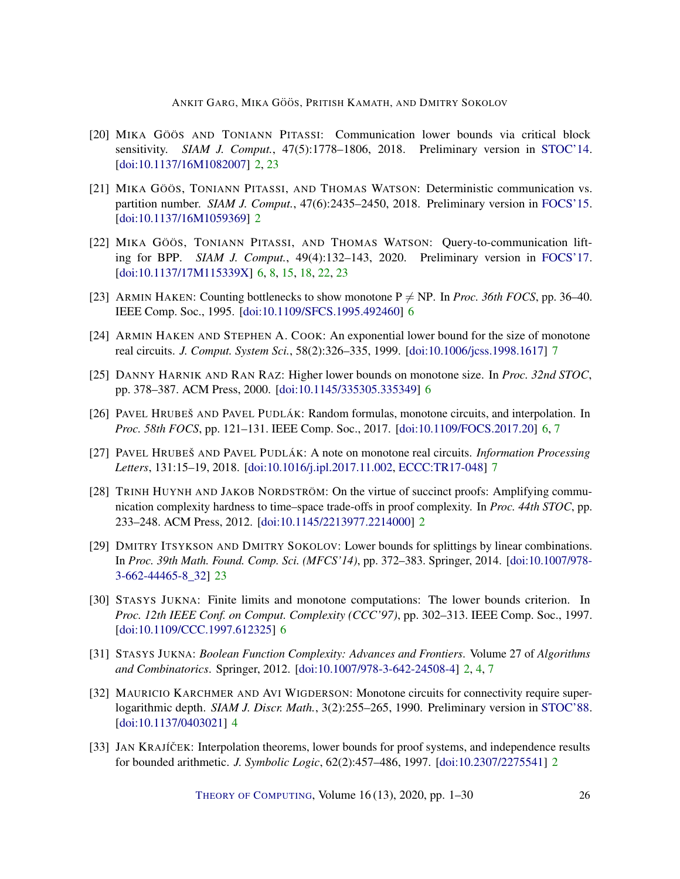- <span id="page-25-3"></span>[20] MIKA GÖÖS AND TONIANN PITASSI: Communication lower bounds via critical block sensitivity. *SIAM J. Comput.*, 47(5):1778–1806, 2018. Preliminary version in [STOC'14.](https://doi.org/10.1145/2591796.2591838) [\[doi:10.1137/16M1082007\]](http://dx.doi.org/10.1137/16M1082007) [2,](#page-1-1) [23](#page-22-2)
- <span id="page-25-4"></span>[21] MIKA GÖÖS, TONIANN PITASSI, AND THOMAS WATSON: Deterministic communication vs. partition number. *SIAM J. Comput.*, 47(6):2435–2450, 2018. Preliminary version in [FOCS'15.](https://doi.org/10.1109/FOCS.2015.70) [\[doi:10.1137/16M1059369\]](http://dx.doi.org/10.1137/16M1059369) [2](#page-1-1)
- <span id="page-25-7"></span>[22] MIKA GÖÖS, TONIANN PITASSI, AND THOMAS WATSON: Query-to-communication lifting for BPP. *SIAM J. Comput.*, 49(4):132–143, 2020. Preliminary version in [FOCS'17.](https://doi.org/10.1109/FOCS.2017.21) [\[doi:10.1137/17M115339X\]](http://dx.doi.org/10.1137/17M115339X) [6,](#page-5-1) [8,](#page-7-4) [15,](#page-14-2) [18,](#page-17-4) [22,](#page-21-2) [23](#page-22-2)
- <span id="page-25-8"></span>[23] ARMIN HAKEN: Counting bottlenecks to show monotone  $P \neq NP$ . In *Proc. 36th FOCS*, pp. 36–40. IEEE Comp. Soc., 1995. [\[doi:10.1109/SFCS.1995.492460\]](http://dx.doi.org/10.1109/SFCS.1995.492460) [6](#page-5-1)
- <span id="page-25-12"></span>[24] ARMIN HAKEN AND STEPHEN A. COOK: An exponential lower bound for the size of monotone real circuits. *J. Comput. System Sci.*, 58(2):326–335, 1999. [\[doi:10.1006/jcss.1998.1617\]](http://dx.doi.org/10.1006/jcss.1998.1617) [7](#page-6-2)
- <span id="page-25-6"></span>[25] DANNY HARNIK AND RAN RAZ: Higher lower bounds on monotone size. In *Proc. 32nd STOC*, pp. 378–387. ACM Press, 2000. [\[doi:10.1145/335305.335349\]](http://dx.doi.org/10.1145/335305.335349) [6](#page-5-1)
- <span id="page-25-10"></span>[26] PAVEL HRUBEŠ AND PAVEL PUDLÁK: Random formulas, monotone circuits, and interpolation. In *Proc. 58th FOCS*, pp. 121–131. IEEE Comp. Soc., 2017. [\[doi:10.1109/FOCS.2017.20\]](http://dx.doi.org/10.1109/FOCS.2017.20) [6,](#page-5-1) [7](#page-6-2)
- <span id="page-25-11"></span>[27] PAVEL HRUBEŠ AND PAVEL PUDLÁK: A note on monotone real circuits. *Information Processing Letters*, 131:15–19, 2018. [\[doi:10.1016/j.ipl.2017.11.002,](http://dx.doi.org/10.1016/j.ipl.2017.11.002) [ECCC:TR17-048\]](https://eccc.weizmann.ac.il/report/2017/048) [7](#page-6-2)
- <span id="page-25-2"></span>[28] TRINH HUYNH AND JAKOB NORDSTRÖM: On the virtue of succinct proofs: Amplifying communication complexity hardness to time–space trade-offs in proof complexity. In *Proc. 44th STOC*, pp. 233–248. ACM Press, 2012. [\[doi:10.1145/2213977.2214000\]](http://dx.doi.org/10.1145/2213977.2214000) [2](#page-1-1)
- <span id="page-25-13"></span>[29] DMITRY ITSYKSON AND DMITRY SOKOLOV: Lower bounds for splittings by linear combinations. In *Proc. 39th Math. Found. Comp. Sci. (MFCS'14)*, pp. 372–383. Springer, 2014. [\[doi:10.1007/978-](http://dx.doi.org/10.1007/978-3-662-44465-8_32) [3-662-44465-8\\_32\]](http://dx.doi.org/10.1007/978-3-662-44465-8_32) [23](#page-22-2)
- <span id="page-25-9"></span>[30] STASYS JUKNA: Finite limits and monotone computations: The lower bounds criterion. In *Proc. 12th IEEE Conf. on Comput. Complexity (CCC'97)*, pp. 302–313. IEEE Comp. Soc., 1997. [\[doi:10.1109/CCC.1997.612325\]](http://dx.doi.org/10.1109/CCC.1997.612325) [6](#page-5-1)
- <span id="page-25-0"></span>[31] STASYS JUKNA: *Boolean Function Complexity: Advances and Frontiers*. Volume 27 of *Algorithms and Combinatorics*. Springer, 2012. [\[doi:10.1007/978-3-642-24508-4\]](http://dx.doi.org/10.1007/978-3-642-24508-4) [2,](#page-1-1) [4,](#page-3-2) [7](#page-6-2)
- <span id="page-25-5"></span>[32] MAURICIO KARCHMER AND AVI WIGDERSON: Monotone circuits for connectivity require superlogarithmic depth. *SIAM J. Discr. Math.*, 3(2):255–265, 1990. Preliminary version in [STOC'88.](https://doi.org/10.1145/62212.62265) [\[doi:10.1137/0403021\]](http://dx.doi.org/10.1137/0403021) [4](#page-3-2)
- <span id="page-25-1"></span>[33] JAN KRAJÍČEK: Interpolation theorems, lower bounds for proof systems, and independence results for bounded arithmetic. *J. Symbolic Logic*, 62(2):457–486, 1997. [\[doi:10.2307/2275541\]](http://dx.doi.org/10.2307/2275541) [2](#page-1-1)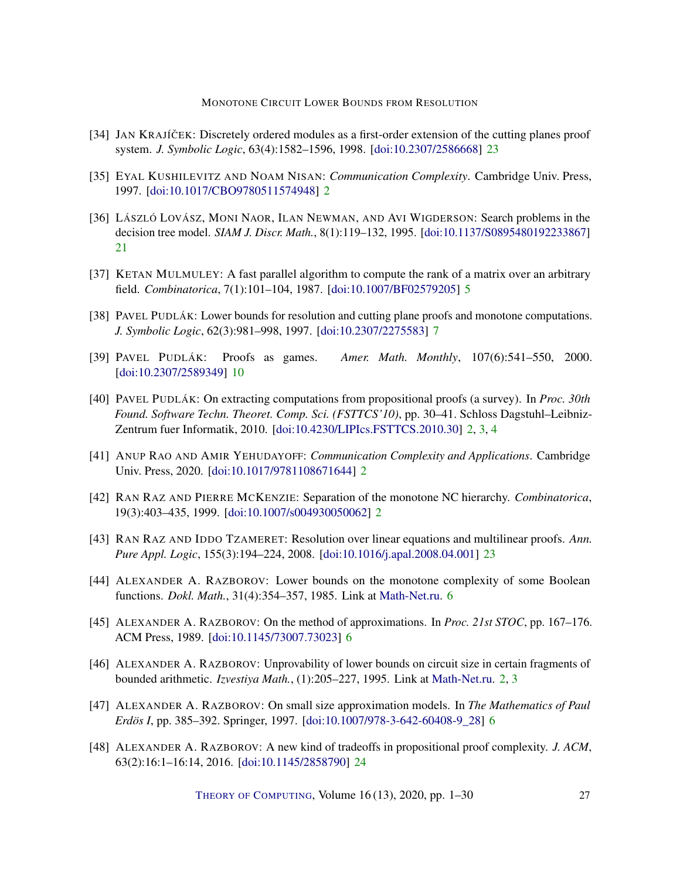- <span id="page-26-12"></span>[34] JAN KRAJÍČEK: Discretely ordered modules as a first-order extension of the cutting planes proof system. *J. Symbolic Logic*, 63(4):1582–1596, 1998. [\[doi:10.2307/2586668\]](http://dx.doi.org/10.2307/2586668) [23](#page-22-2)
- <span id="page-26-2"></span>[35] EYAL KUSHILEVITZ AND NOAM NISAN: *Communication Complexity*. Cambridge Univ. Press, 1997. [\[doi:10.1017/CBO9780511574948\]](http://dx.doi.org/10.1017/CBO9780511574948) [2](#page-1-1)
- <span id="page-26-11"></span>[36] LÁSZLÓ LOVÁSZ, MONI NAOR, ILAN NEWMAN, AND AVI WIGDERSON: Search problems in the decision tree model. *SIAM J. Discr. Math.*, 8(1):119–132, 1995. [\[doi:10.1137/S0895480192233867\]](http://dx.doi.org/10.1137/S0895480192233867) [21](#page-20-0)
- <span id="page-26-5"></span>[37] KETAN MULMULEY: A fast parallel algorithm to compute the rank of a matrix over an arbitrary field. *Combinatorica*, 7(1):101–104, 1987. [\[doi:10.1007/BF02579205\]](http://dx.doi.org/10.1007/BF02579205) [5](#page-4-2)
- <span id="page-26-9"></span>[38] PAVEL PUDLÁK: Lower bounds for resolution and cutting plane proofs and monotone computations. *J. Symbolic Logic*, 62(3):981–998, 1997. [\[doi:10.2307/2275583\]](http://dx.doi.org/10.2307/2275583) [7](#page-6-2)
- <span id="page-26-10"></span>[39] PAVEL PUDLÁK: Proofs as games. *Amer. Math. Monthly*, 107(6):541–550, 2000. [\[doi:10.2307/2589349\]](http://dx.doi.org/10.2307/2589349) [10](#page-9-2)
- <span id="page-26-1"></span>[40] PAVEL PUDLÁK: On extracting computations from propositional proofs (a survey). In *Proc. 30th Found. Software Techn. Theoret. Comp. Sci. (FSTTCS'10)*, pp. 30–41. Schloss Dagstuhl–Leibniz-Zentrum fuer Informatik, 2010. [\[doi:10.4230/LIPIcs.FSTTCS.2010.30\]](http://dx.doi.org/10.4230/LIPIcs.FSTTCS.2010.30) [2,](#page-1-1) [3,](#page-2-0) [4](#page-3-2)
- <span id="page-26-3"></span>[41] ANUP RAO AND AMIR YEHUDAYOFF: *Communication Complexity and Applications*. Cambridge Univ. Press, 2020. [\[doi:10.1017/9781108671644\]](http://dx.doi.org/10.1017/9781108671644) [2](#page-1-1)
- <span id="page-26-4"></span>[42] RAN RAZ AND PIERRE MCKENZIE: Separation of the monotone NC hierarchy. *Combinatorica*, 19(3):403–435, 1999. [\[doi:10.1007/s004930050062\]](http://dx.doi.org/10.1007/s004930050062) [2](#page-1-1)
- <span id="page-26-13"></span>[43] RAN RAZ AND IDDO TZAMERET: Resolution over linear equations and multilinear proofs. *Ann. Pure Appl. Logic*, 155(3):194–224, 2008. [\[doi:10.1016/j.apal.2008.04.001\]](http://dx.doi.org/10.1016/j.apal.2008.04.001) [23](#page-22-2)
- <span id="page-26-6"></span>[44] ALEXANDER A. RAZBOROV: Lower bounds on the monotone complexity of some Boolean functions. *Dokl. Math.*, 31(4):354–357, 1985. Link at [Math-Net.ru.](http://www.mathnet.ru/php/archive.phtml?wshow=paper&jrnid=dan&paperid=9192&option_lang=eng) [6](#page-5-1)
- <span id="page-26-7"></span>[45] ALEXANDER A. RAZBOROV: On the method of approximations. In *Proc. 21st STOC*, pp. 167–176. ACM Press, 1989. [\[doi:10.1145/73007.73023\]](http://dx.doi.org/10.1145/73007.73023) [6](#page-5-1)
- <span id="page-26-0"></span>[46] ALEXANDER A. RAZBOROV: Unprovability of lower bounds on circuit size in certain fragments of bounded arithmetic. *Izvestiya Math.*, (1):205–227, 1995. Link at [Math-Net.ru.](http://www.mathnet.ru/php/archive.phtml?wshow=paper&jrnid=im&paperid=9&option_lang=eng) [2,](#page-1-1) [3](#page-2-0)
- <span id="page-26-8"></span>[47] ALEXANDER A. RAZBOROV: On small size approximation models. In *The Mathematics of Paul Erdös I*, pp. 385–392. Springer, 1997. [\[doi:10.1007/978-3-642-60408-9\\_28\]](http://dx.doi.org/10.1007/978-3-642-60408-9_28) [6](#page-5-1)
- <span id="page-26-14"></span>[48] ALEXANDER A. RAZBOROV: A new kind of tradeoffs in propositional proof complexity. *J. ACM*, 63(2):16:1–16:14, 2016. [\[doi:10.1145/2858790\]](http://dx.doi.org/10.1145/2858790) [24](#page-23-6)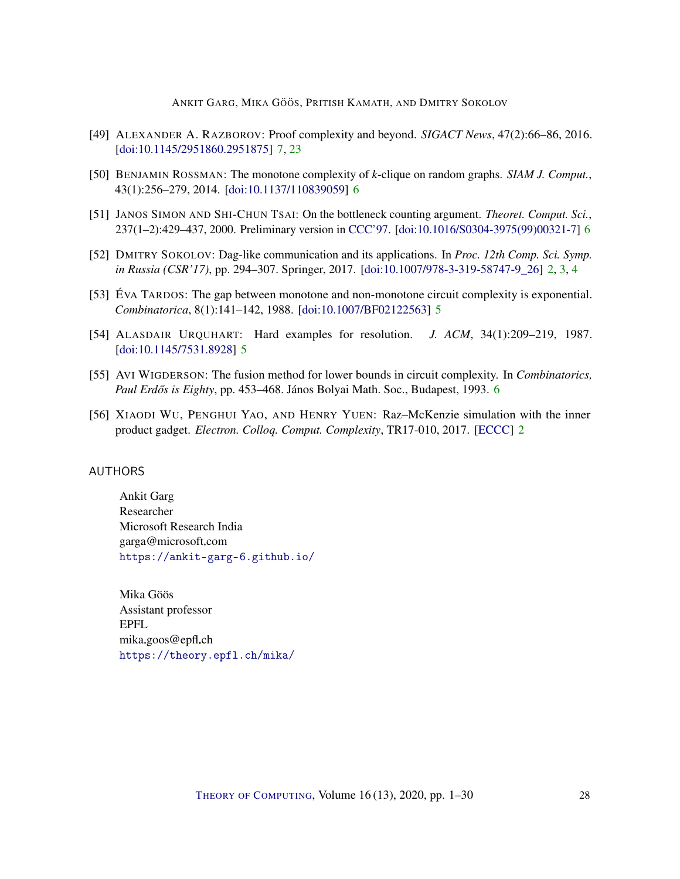- <span id="page-27-9"></span>[49] ALEXANDER A. RAZBOROV: Proof complexity and beyond. *SIGACT News*, 47(2):66–86, 2016. [\[doi:10.1145/2951860.2951875\]](http://dx.doi.org/10.1145/2951860.2951875) [7,](#page-6-2) [23](#page-22-2)
- <span id="page-27-6"></span>[50] BENJAMIN ROSSMAN: The monotone complexity of *k*-clique on random graphs. *SIAM J. Comput.*, 43(1):256–279, 2014. [\[doi:10.1137/110839059\]](http://dx.doi.org/10.1137/110839059) [6](#page-5-1)
- <span id="page-27-8"></span>[51] JANOS SIMON AND SHI-CHUN TSAI: On the bottleneck counting argument. *Theoret. Comput. Sci.*, 237(1–2):429–437, 2000. Preliminary version in [CCC'97.](https://doi.org/10.1109/CCC.1997.612324) [\[doi:10.1016/S0304-3975\(99\)00321-7\]](http://dx.doi.org/10.1016/S0304-3975(99)00321-7) [6](#page-5-1)
- <span id="page-27-2"></span>[52] DMITRY SOKOLOV: Dag-like communication and its applications. In *Proc. 12th Comp. Sci. Symp. in Russia (CSR'17)*, pp. 294–307. Springer, 2017. [\[doi:10.1007/978-3-319-58747-9\\_26\]](http://dx.doi.org/10.1007/978-3-319-58747-9_26) [2,](#page-1-1) [3,](#page-2-0) [4](#page-3-2)
- <span id="page-27-5"></span>[53] ÉVA TARDOS: The gap between monotone and non-monotone circuit complexity is exponential. *Combinatorica*, 8(1):141–142, 1988. [\[doi:10.1007/BF02122563\]](http://dx.doi.org/10.1007/BF02122563) [5](#page-4-2)
- <span id="page-27-4"></span>[54] ALASDAIR URQUHART: Hard examples for resolution. *J. ACM*, 34(1):209–219, 1987. [\[doi:10.1145/7531.8928\]](http://dx.doi.org/10.1145/7531.8928) [5](#page-4-2)
- <span id="page-27-7"></span>[55] AVI WIGDERSON: The fusion method for lower bounds in circuit complexity. In *Combinatorics, Paul Erd ˝os is Eighty*, pp. 453–468. János Bolyai Math. Soc., Budapest, 1993. [6](#page-5-1)
- <span id="page-27-3"></span>[56] XIAODI WU, PENGHUI YAO, AND HENRY YUEN: Raz–McKenzie simulation with the inner product gadget. *Electron. Colloq. Comput. Complexity*, TR17-010, 2017. [\[ECCC\]](https://eccc.weizmann.ac.il/report/2017/010) [2](#page-1-1)

#### <span id="page-27-0"></span>AUTHORS

Ankit Garg Researcher Microsoft Research India garga@microsoft.com <https://ankit-garg-6.github.io/>

<span id="page-27-1"></span>Mika Göös Assistant professor EPFL mika.goos@epfl.ch <https://theory.epfl.ch/mika/>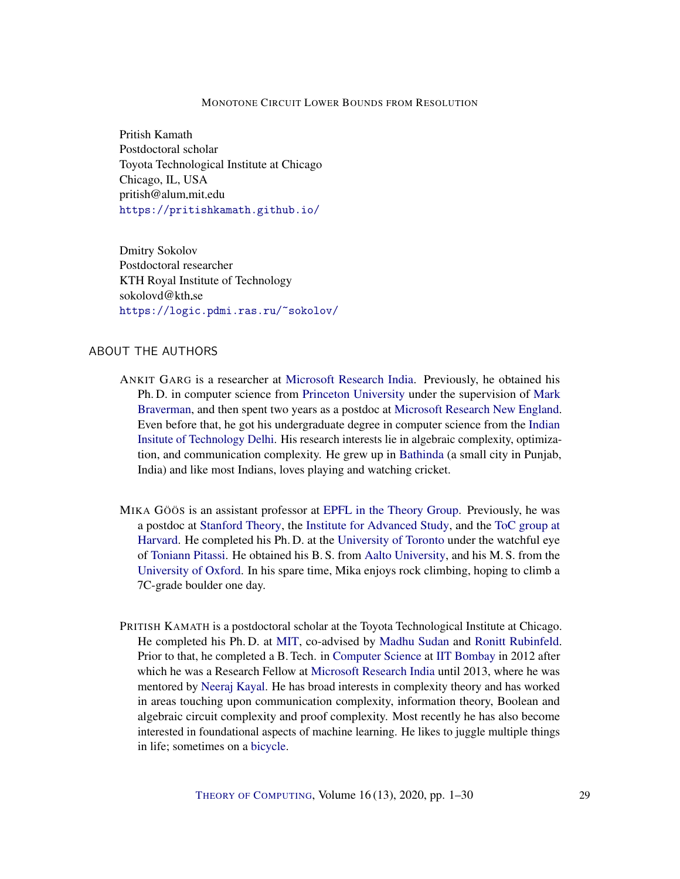<span id="page-28-0"></span>Pritish Kamath Postdoctoral scholar Toyota Technological Institute at Chicago Chicago, IL, USA pritish@alum.mit.edu <https://pritishkamath.github.io/>

<span id="page-28-1"></span>Dmitry Sokolov Postdoctoral researcher KTH Royal Institute of Technology sokolovd@kth.se <https://logic.pdmi.ras.ru/~sokolov/>

## ABOUT THE AUTHORS

- ANKIT GARG is a researcher at [Microsoft Research India.](https://www.microsoft.com/en-us/research/lab/microsoft-research-india/) Previously, he obtained his Ph. D. in computer science from [Princeton University](https://www.cs.princeton.edu/) under the supervision of [Mark](http://www.cs.princeton.edu/~mbraverm/) [Braverman,](http://www.cs.princeton.edu/~mbraverm/) and then spent two years as a postdoc at [Microsoft Research New England.](https://www.microsoft.com/en-us/research/lab/microsoft-research-new-england/) Even before that, he got his undergraduate degree in computer science from the [Indian](http://www.cse.iitd.ernet.in/) [Insitute of Technology Delhi.](http://www.cse.iitd.ernet.in/) His research interests lie in algebraic complexity, optimization, and communication complexity. He grew up in [Bathinda](https://en.wikipedia.org/wiki/Bathinda) (a small city in Punjab, India) and like most Indians, loves playing and watching cricket.
- MIKA GÖÖS is an assistant professor at [EPFL in the Theory Group.](https://theory.epfl.ch/) Previously, he was a postdoc at [Stanford Theory,](http://theory.stanford.edu/) the [Institute for Advanced Study,](https://www.ias.edu/) and the [ToC group at](http://toc.seas.harvard.edu/) [Harvard.](http://toc.seas.harvard.edu/) He completed his Ph. D. at the [University of Toronto](http://www.cs.toronto.edu) under the watchful eye of [Toniann Pitassi.](http://www.cs.toronto.edu/~toni/) He obtained his B. S. from [Aalto University,](https://www.aalto.fi/) and his M. S. from the [University of Oxford.](https://www.cs.ox.ac.uk/) In his spare time, Mika enjoys rock climbing, hoping to climb a 7C-grade boulder one day.
- PRITISH KAMATH is a postdoctoral scholar at the Toyota Technological Institute at Chicago. He completed his Ph. D. at [MIT,](www.mit.edu) co-advised by [Madhu Sudan](http://madhu.seas.harvard.edu/) and [Ronitt Rubinfeld.](http://people.csail.mit.edu/ronitt/) Prior to that, he completed a B. Tech. in [Computer Science](https://www.cse.iitb.ac.in/) at [IIT Bombay](http://www.iitb.ac.in/) in 2012 after which he was a Research Fellow at [Microsoft Research India](https://www.microsoft.com/en-us/research/lab/microsoft-research-india/) until 2013, where he was mentored by [Neeraj Kayal.](https://www.microsoft.com/en-us/research/people/neeraka/) He has broad interests in complexity theory and has worked in areas touching upon communication complexity, information theory, Boolean and algebraic circuit complexity and proof complexity. Most recently he has also become interested in foundational aspects of machine learning. He likes to juggle multiple things in life; sometimes on a [bicycle.](https://youtu.be/iXgAfveUTMk)